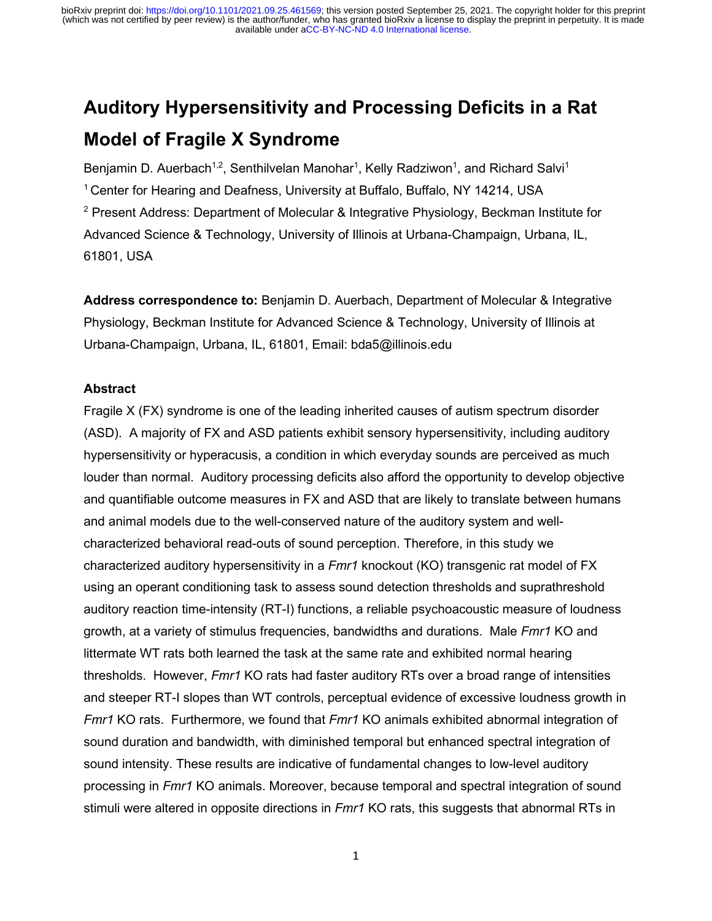# **Auditory Hypersensitivity and Processing Deficits in a Rat Model of Fragile X Syndrome**

Benjamin D. Auerbach<sup>1,2</sup>, Senthilvelan Manohar<sup>1</sup>, Kelly Radziwon<sup>1</sup>, and Richard Salvi<sup>1</sup> 1 Center for Hearing and Deafness, University at Buffalo, Buffalo, NY 14214, USA <sup>2</sup> Present Address: Department of Molecular & Integrative Physiology, Beckman Institute for Advanced Science & Technology, University of Illinois at Urbana-Champaign, Urbana, IL, 61801, USA

**Address correspondence to:** Benjamin D. Auerbach, Department of Molecular & Integrative Physiology, Beckman Institute for Advanced Science & Technology, University of Illinois at Urbana-Champaign, Urbana, IL, 61801, Email: bda5@illinois.edu

# **Abstract**

Fragile X (FX) syndrome is one of the leading inherited causes of autism spectrum disorder (ASD). A majority of FX and ASD patients exhibit sensory hypersensitivity, including auditory hypersensitivity or hyperacusis, a condition in which everyday sounds are perceived as much louder than normal. Auditory processing deficits also afford the opportunity to develop objective and quantifiable outcome measures in FX and ASD that are likely to translate between humans and animal models due to the well-conserved nature of the auditory system and wellcharacterized behavioral read-outs of sound perception. Therefore, in this study we characterized auditory hypersensitivity in a *Fmr1* knockout (KO) transgenic rat model of FX using an operant conditioning task to assess sound detection thresholds and suprathreshold auditory reaction time-intensity (RT-I) functions, a reliable psychoacoustic measure of loudness growth, at a variety of stimulus frequencies, bandwidths and durations. Male *Fmr1* KO and littermate WT rats both learned the task at the same rate and exhibited normal hearing thresholds. However, *Fmr1* KO rats had faster auditory RTs over a broad range of intensities and steeper RT-I slopes than WT controls, perceptual evidence of excessive loudness growth in *Fmr1* KO rats. Furthermore, we found that *Fmr1* KO animals exhibited abnormal integration of sound duration and bandwidth, with diminished temporal but enhanced spectral integration of sound intensity. These results are indicative of fundamental changes to low-level auditory processing in *Fmr1* KO animals. Moreover, because temporal and spectral integration of sound stimuli were altered in opposite directions in *Fmr1* KO rats, this suggests that abnormal RTs in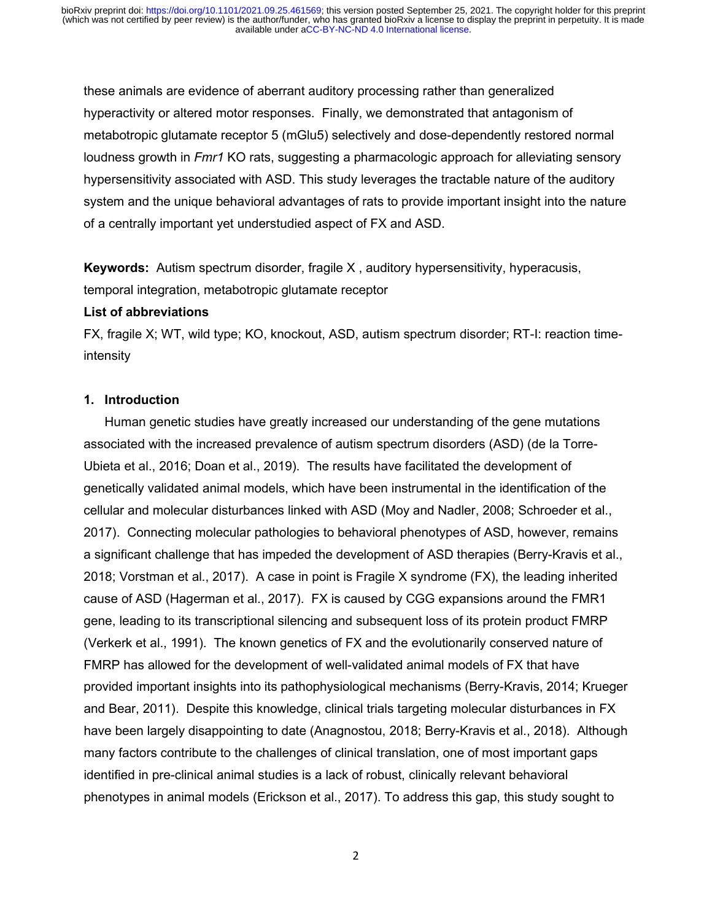these animals are evidence of aberrant auditory processing rather than generalized hyperactivity or altered motor responses. Finally, we demonstrated that antagonism of metabotropic glutamate receptor 5 (mGlu5) selectively and dose-dependently restored normal loudness growth in *Fmr1* KO rats, suggesting a pharmacologic approach for alleviating sensory hypersensitivity associated with ASD. This study leverages the tractable nature of the auditory system and the unique behavioral advantages of rats to provide important insight into the nature of a centrally important yet understudied aspect of FX and ASD.

**Keywords:** Autism spectrum disorder, fragile X , auditory hypersensitivity, hyperacusis, temporal integration, metabotropic glutamate receptor

#### **List of abbreviations**

FX, fragile X; WT, wild type; KO, knockout, ASD, autism spectrum disorder; RT-I: reaction timeintensity

#### **1. Introduction**

Human genetic studies have greatly increased our understanding of the gene mutations associated with the increased prevalence of autism spectrum disorders (ASD) (de la Torre-Ubieta et al., 2016; Doan et al., 2019). The results have facilitated the development of genetically validated animal models, which have been instrumental in the identification of the cellular and molecular disturbances linked with ASD (Moy and Nadler, 2008; Schroeder et al., 2017). Connecting molecular pathologies to behavioral phenotypes of ASD, however, remains a significant challenge that has impeded the development of ASD therapies (Berry-Kravis et al., 2018; Vorstman et al., 2017). A case in point is Fragile X syndrome (FX), the leading inherited cause of ASD (Hagerman et al., 2017). FX is caused by CGG expansions around the FMR1 gene, leading to its transcriptional silencing and subsequent loss of its protein product FMRP (Verkerk et al., 1991). The known genetics of FX and the evolutionarily conserved nature of FMRP has allowed for the development of well-validated animal models of FX that have provided important insights into its pathophysiological mechanisms (Berry-Kravis, 2014; Krueger and Bear, 2011). Despite this knowledge, clinical trials targeting molecular disturbances in FX have been largely disappointing to date (Anagnostou, 2018; Berry-Kravis et al., 2018). Although many factors contribute to the challenges of clinical translation, one of most important gaps identified in pre-clinical animal studies is a lack of robust, clinically relevant behavioral phenotypes in animal models (Erickson et al., 2017). To address this gap, this study sought to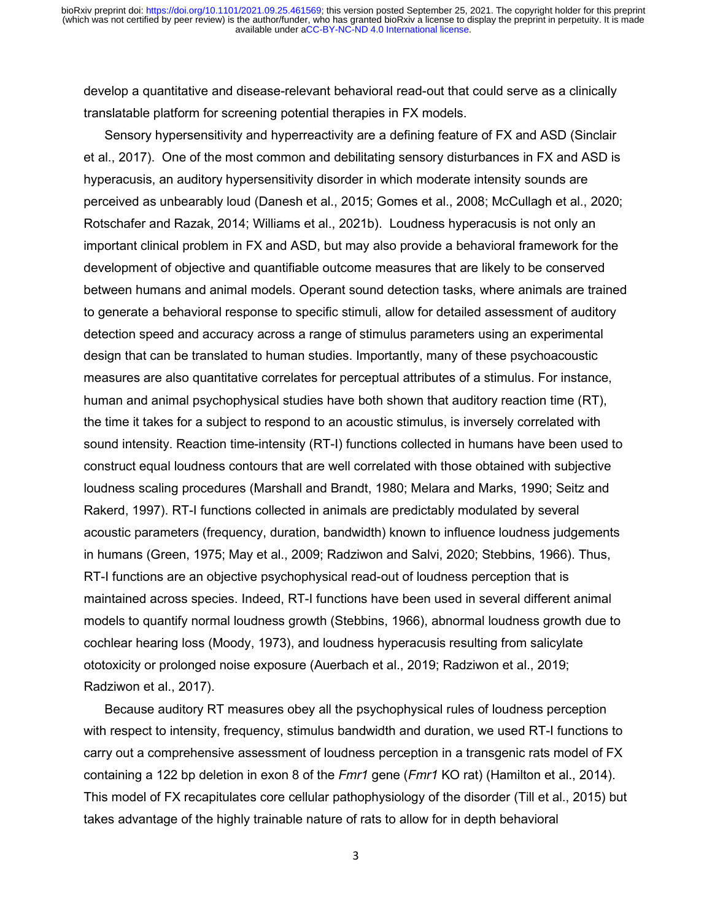develop a quantitative and disease-relevant behavioral read-out that could serve as a clinically translatable platform for screening potential therapies in FX models.

Sensory hypersensitivity and hyperreactivity are a defining feature of FX and ASD (Sinclair et al., 2017). One of the most common and debilitating sensory disturbances in FX and ASD is hyperacusis, an auditory hypersensitivity disorder in which moderate intensity sounds are perceived as unbearably loud (Danesh et al., 2015; Gomes et al., 2008; McCullagh et al., 2020; Rotschafer and Razak, 2014; Williams et al., 2021b). Loudness hyperacusis is not only an important clinical problem in FX and ASD, but may also provide a behavioral framework for the development of objective and quantifiable outcome measures that are likely to be conserved between humans and animal models. Operant sound detection tasks, where animals are trained to generate a behavioral response to specific stimuli, allow for detailed assessment of auditory detection speed and accuracy across a range of stimulus parameters using an experimental design that can be translated to human studies. Importantly, many of these psychoacoustic measures are also quantitative correlates for perceptual attributes of a stimulus. For instance, human and animal psychophysical studies have both shown that auditory reaction time (RT), the time it takes for a subject to respond to an acoustic stimulus, is inversely correlated with sound intensity. Reaction time-intensity (RT-I) functions collected in humans have been used to construct equal loudness contours that are well correlated with those obtained with subjective loudness scaling procedures (Marshall and Brandt, 1980; Melara and Marks, 1990; Seitz and Rakerd, 1997). RT-I functions collected in animals are predictably modulated by several acoustic parameters (frequency, duration, bandwidth) known to influence loudness judgements in humans (Green, 1975; May et al., 2009; Radziwon and Salvi, 2020; Stebbins, 1966). Thus, RT-I functions are an objective psychophysical read-out of loudness perception that is maintained across species. Indeed, RT-I functions have been used in several different animal models to quantify normal loudness growth (Stebbins, 1966), abnormal loudness growth due to cochlear hearing loss (Moody, 1973), and loudness hyperacusis resulting from salicylate ototoxicity or prolonged noise exposure (Auerbach et al., 2019; Radziwon et al., 2019; Radziwon et al., 2017).

Because auditory RT measures obey all the psychophysical rules of loudness perception with respect to intensity, frequency, stimulus bandwidth and duration, we used RT-I functions to carry out a comprehensive assessment of loudness perception in a transgenic rats model of FX containing a 122 bp deletion in exon 8 of the *Fmr1* gene (*Fmr1* KO rat) (Hamilton et al., 2014). This model of FX recapitulates core cellular pathophysiology of the disorder (Till et al., 2015) but takes advantage of the highly trainable nature of rats to allow for in depth behavioral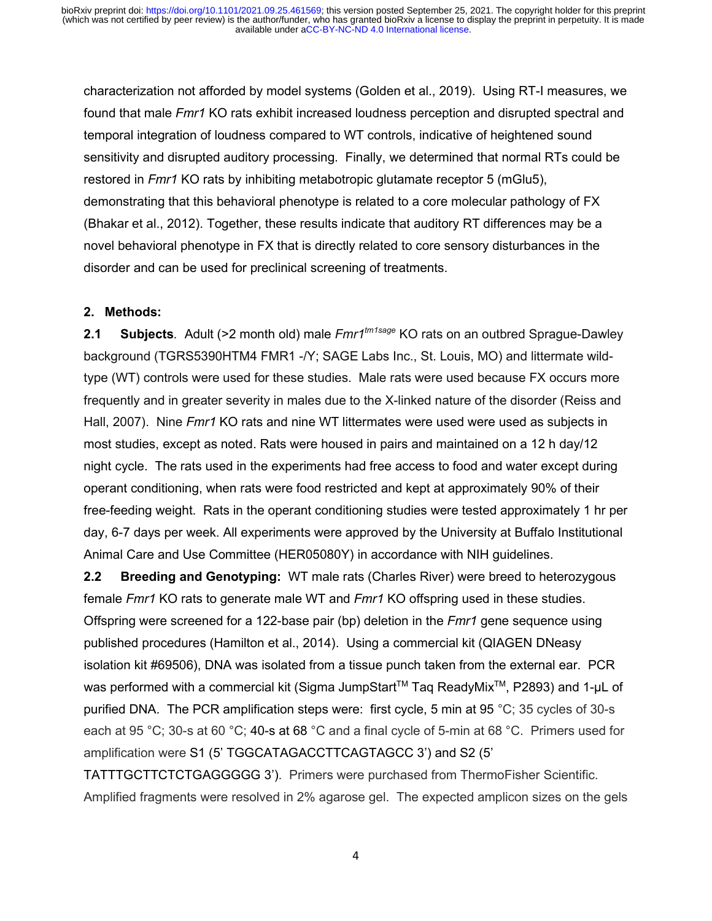characterization not afforded by model systems (Golden et al., 2019). Using RT-I measures, we found that male *Fmr1* KO rats exhibit increased loudness perception and disrupted spectral and temporal integration of loudness compared to WT controls, indicative of heightened sound sensitivity and disrupted auditory processing. Finally, we determined that normal RTs could be restored in *Fmr1* KO rats by inhibiting metabotropic glutamate receptor 5 (mGlu5), demonstrating that this behavioral phenotype is related to a core molecular pathology of FX (Bhakar et al., 2012). Together, these results indicate that auditory RT differences may be a novel behavioral phenotype in FX that is directly related to core sensory disturbances in the disorder and can be used for preclinical screening of treatments.

# **2. Methods:**

**2.1 Subjects***.* Adult (>2 month old) male *Fmr1tm1sage* KO rats on an outbred Sprague-Dawley background (TGRS5390HTM4 FMR1 -/Y; SAGE Labs Inc., St. Louis, MO) and littermate wildtype (WT) controls were used for these studies. Male rats were used because FX occurs more frequently and in greater severity in males due to the X-linked nature of the disorder (Reiss and Hall, 2007). Nine *Fmr1* KO rats and nine WT littermates were used were used as subjects in most studies, except as noted. Rats were housed in pairs and maintained on a 12 h day/12 night cycle. The rats used in the experiments had free access to food and water except during operant conditioning, when rats were food restricted and kept at approximately 90% of their free-feeding weight. Rats in the operant conditioning studies were tested approximately 1 hr per day, 6-7 days per week. All experiments were approved by the University at Buffalo Institutional Animal Care and Use Committee (HER05080Y) in accordance with NIH guidelines.

**2.2 Breeding and Genotyping:** WT male rats (Charles River) were breed to heterozygous female *Fmr1* KO rats to generate male WT and *Fmr1* KO offspring used in these studies. Offspring were screened for a 122-base pair (bp) deletion in the *Fmr1* gene sequence using published procedures (Hamilton et al., 2014). Using a commercial kit (QIAGEN DNeasy isolation kit #69506), DNA was isolated from a tissue punch taken from the external ear. PCR was performed with a commercial kit (Sigma JumpStart™ Taq ReadyMix<sup>™</sup>, P2893) and 1-µL of purified DNA. The PCR amplification steps were: first cycle, 5 min at 95 °C; 35 cycles of 30-s each at 95 °C; 30-s at 60 °C; 40-s at 68 °C and a final cycle of 5-min at 68 °C. Primers used for amplification were S1 (5' TGGCATAGACCTTCAGTAGCC 3') and S2 (5'

TATTTGCTTCTCTGAGGGGG 3'). Primers were purchased from ThermoFisher Scientific. Amplified fragments were resolved in 2% agarose gel. The expected amplicon sizes on the gels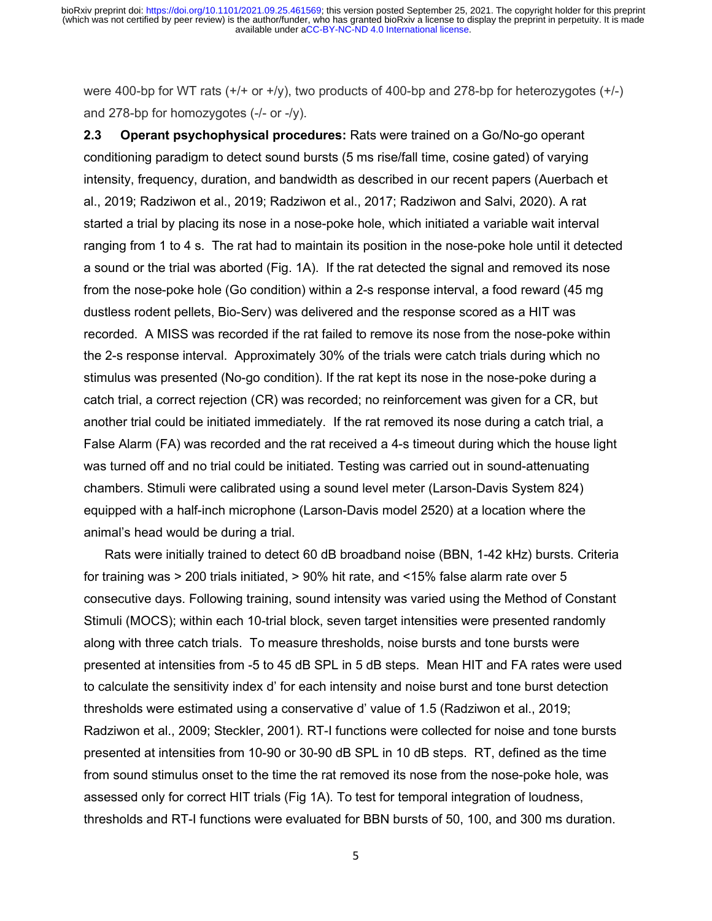were 400-bp for WT rats  $(+/-)$  or  $+/\gamma$ ), two products of 400-bp and 278-bp for heterozygotes  $(+/-)$ and 278-bp for homozygotes (-/- or -/y).

**2.3 Operant psychophysical procedures:** Rats were trained on a Go/No-go operant conditioning paradigm to detect sound bursts (5 ms rise/fall time, cosine gated) of varying intensity, frequency, duration, and bandwidth as described in our recent papers (Auerbach et al., 2019; Radziwon et al., 2019; Radziwon et al., 2017; Radziwon and Salvi, 2020). A rat started a trial by placing its nose in a nose-poke hole, which initiated a variable wait interval ranging from 1 to 4 s. The rat had to maintain its position in the nose-poke hole until it detected a sound or the trial was aborted (Fig. 1A). If the rat detected the signal and removed its nose from the nose-poke hole (Go condition) within a 2-s response interval, a food reward (45 mg dustless rodent pellets, Bio-Serv) was delivered and the response scored as a HIT was recorded. A MISS was recorded if the rat failed to remove its nose from the nose-poke within the 2-s response interval. Approximately 30% of the trials were catch trials during which no stimulus was presented (No-go condition). If the rat kept its nose in the nose-poke during a catch trial, a correct rejection (CR) was recorded; no reinforcement was given for a CR, but another trial could be initiated immediately. If the rat removed its nose during a catch trial, a False Alarm (FA) was recorded and the rat received a 4-s timeout during which the house light was turned off and no trial could be initiated. Testing was carried out in sound-attenuating chambers. Stimuli were calibrated using a sound level meter (Larson-Davis System 824) equipped with a half-inch microphone (Larson-Davis model 2520) at a location where the animal's head would be during a trial.

Rats were initially trained to detect 60 dB broadband noise (BBN, 1-42 kHz) bursts. Criteria for training was > 200 trials initiated, > 90% hit rate, and <15% false alarm rate over 5 consecutive days. Following training, sound intensity was varied using the Method of Constant Stimuli (MOCS); within each 10-trial block, seven target intensities were presented randomly along with three catch trials. To measure thresholds, noise bursts and tone bursts were presented at intensities from -5 to 45 dB SPL in 5 dB steps. Mean HIT and FA rates were used to calculate the sensitivity index d' for each intensity and noise burst and tone burst detection thresholds were estimated using a conservative d' value of 1.5 (Radziwon et al., 2019; Radziwon et al., 2009; Steckler, 2001). RT-I functions were collected for noise and tone bursts presented at intensities from 10-90 or 30-90 dB SPL in 10 dB steps. RT, defined as the time from sound stimulus onset to the time the rat removed its nose from the nose-poke hole, was assessed only for correct HIT trials (Fig 1A). To test for temporal integration of loudness, thresholds and RT-I functions were evaluated for BBN bursts of 50, 100, and 300 ms duration.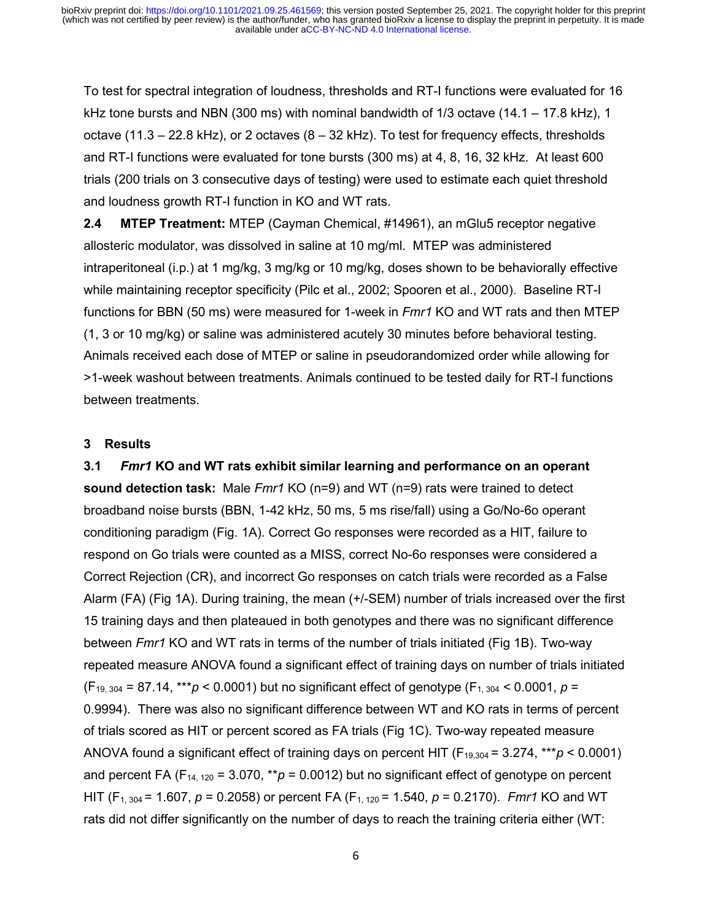To test for spectral integration of loudness, thresholds and RT-I functions were evaluated for 16 kHz tone bursts and NBN (300 ms) with nominal bandwidth of  $1/3$  octave (14.1 – 17.8 kHz), 1 octave (11.3 – 22.8 kHz), or 2 octaves (8 – 32 kHz). To test for frequency effects, thresholds and RT-I functions were evaluated for tone bursts (300 ms) at 4, 8, 16, 32 kHz. At least 600 trials (200 trials on 3 consecutive days of testing) were used to estimate each quiet threshold and loudness growth RT-I function in KO and WT rats.

**2.4 MTEP Treatment:** MTEP (Cayman Chemical, #14961), an mGlu5 receptor negative allosteric modulator, was dissolved in saline at 10 mg/ml. MTEP was administered intraperitoneal (i.p.) at 1 mg/kg, 3 mg/kg or 10 mg/kg, doses shown to be behaviorally effective while maintaining receptor specificity (Pilc et al., 2002; Spooren et al., 2000). Baseline RT-I functions for BBN (50 ms) were measured for 1-week in *Fmr1* KO and WT rats and then MTEP (1, 3 or 10 mg/kg) or saline was administered acutely 30 minutes before behavioral testing. Animals received each dose of MTEP or saline in pseudorandomized order while allowing for >1-week washout between treatments. Animals continued to be tested daily for RT-I functions between treatments.

# **3 Results**

**3.1** *Fmr1* **KO and WT rats exhibit similar learning and performance on an operant sound detection task:** Male *Fmr1* KO (n=9) and WT (n=9) rats were trained to detect broadband noise bursts (BBN, 1-42 kHz, 50 ms, 5 ms rise/fall) using a Go/No-6o operant conditioning paradigm (Fig. 1A). Correct Go responses were recorded as a HIT, failure to respond on Go trials were counted as a MISS, correct No-6o responses were considered a Correct Rejection (CR), and incorrect Go responses on catch trials were recorded as a False Alarm (FA) (Fig 1A). During training, the mean (+/-SEM) number of trials increased over the first 15 training days and then plateaued in both genotypes and there was no significant difference between *Fmr1* KO and WT rats in terms of the number of trials initiated (Fig 1B). Two-way repeated measure ANOVA found a significant effect of training days on number of trials initiated  $(F_{19, 304} = 87.14$ , \*\*\**p* < 0.0001) but no significant effect of genotype  $(F_{1, 304} < 0.0001$ ,  $p =$ 0.9994). There was also no significant difference between WT and KO rats in terms of percent of trials scored as HIT or percent scored as FA trials (Fig 1C). Two-way repeated measure ANOVA found a significant effect of training days on percent HIT ( $F_{19,304}$  = 3.274, \*\*\* $p < 0.0001$ ) and percent FA ( $F_{14, 120}$  = 3.070, \*\*p = 0.0012) but no significant effect of genotype on percent HIT (F1, 304 = 1.607, *p* = 0.2058) or percent FA (F1, 120 = 1.540, *p* = 0.2170). *Fmr1* KO and WT rats did not differ significantly on the number of days to reach the training criteria either (WT: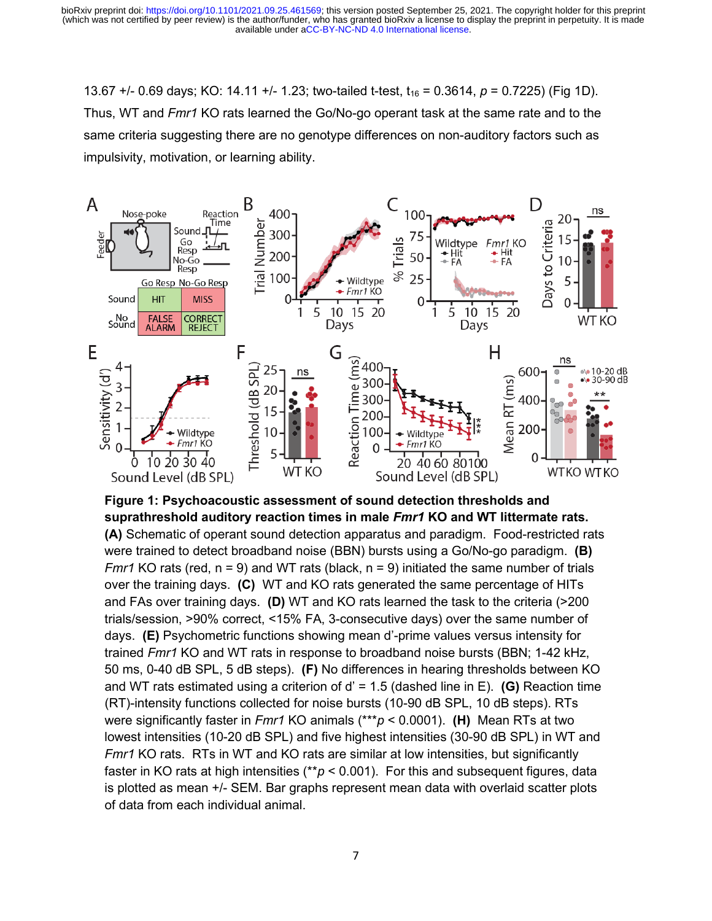13.67 +/- 0.69 days; KO: 14.11 +/- 1.23; two-tailed t-test,  $t_{16}$  = 0.3614,  $p$  = 0.7225) (Fig 1D). Thus, WT and *Fmr1* KO rats learned the Go/No-go operant task at the same rate and to the same criteria suggesting there are no genotype differences on non-auditory factors such as impulsivity, motivation, or learning ability.



# **Figure 1: Psychoacoustic assessment of sound detection thresholds and suprathreshold auditory reaction times in male** *Fmr1* **KO and WT littermate rats.**

**(A)** Schematic of operant sound detection apparatus and paradigm. Food-restricted rats were trained to detect broadband noise (BBN) bursts using a Go/No-go paradigm. **(B)** *Fmr1* KO rats (red, n = 9) and WT rats (black, n = 9) initiated the same number of trials over the training days. **(C)** WT and KO rats generated the same percentage of HITs and FAs over training days. **(D)** WT and KO rats learned the task to the criteria (>200 trials/session, >90% correct, <15% FA, 3-consecutive days) over the same number of days. **(E)** Psychometric functions showing mean d'-prime values versus intensity for trained *Fmr1* KO and WT rats in response to broadband noise bursts (BBN; 1-42 kHz, 50 ms, 0-40 dB SPL, 5 dB steps). **(F)** No differences in hearing thresholds between KO and WT rats estimated using a criterion of d' = 1.5 (dashed line in E). **(G)** Reaction time (RT)-intensity functions collected for noise bursts (10-90 dB SPL, 10 dB steps). RTs were significantly faster in *Fmr1* KO animals (\*\*\**p* < 0.0001). **(H)** Mean RTs at two lowest intensities (10-20 dB SPL) and five highest intensities (30-90 dB SPL) in WT and *Fmr1* KO rats. RTs in WT and KO rats are similar at low intensities, but significantly faster in KO rats at high intensities (\*\**p* < 0.001). For this and subsequent figures, data is plotted as mean +/- SEM. Bar graphs represent mean data with overlaid scatter plots of data from each individual animal.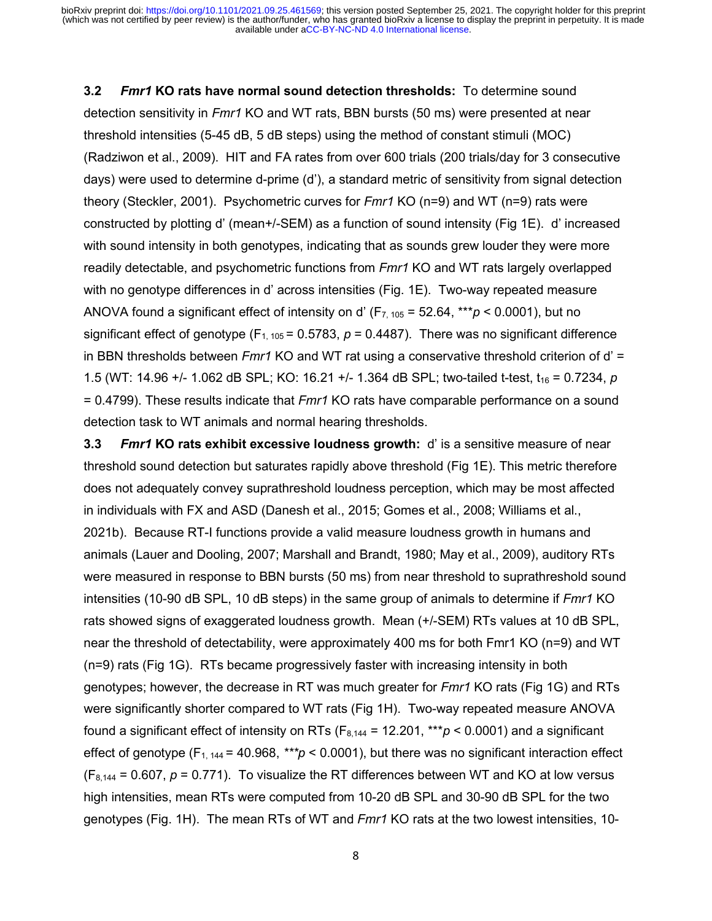**3.2** *Fmr1* **KO rats have normal sound detection thresholds:** To determine sound detection sensitivity in *Fmr1* KO and WT rats, BBN bursts (50 ms) were presented at near threshold intensities (5-45 dB, 5 dB steps) using the method of constant stimuli (MOC) (Radziwon et al., 2009). HIT and FA rates from over 600 trials (200 trials/day for 3 consecutive days) were used to determine d-prime (d'), a standard metric of sensitivity from signal detection theory (Steckler, 2001). Psychometric curves for *Fmr1* KO (n=9) and WT (n=9) rats were constructed by plotting d' (mean+/-SEM) as a function of sound intensity (Fig 1E). d' increased with sound intensity in both genotypes, indicating that as sounds grew louder they were more readily detectable, and psychometric functions from *Fmr1* KO and WT rats largely overlapped with no genotype differences in d' across intensities (Fig. 1E). Two-way repeated measure ANOVA found a significant effect of intensity on d' (F7, 105 = 52.64, \*\*\**p* < 0.0001), but no significant effect of genotype ( $F_{1, 105}$  = 0.5783,  $p$  = 0.4487). There was no significant difference in BBN thresholds between *Fmr1* KO and WT rat using a conservative threshold criterion of d' = 1.5 (WT: 14.96 +/- 1.062 dB SPL; KO: 16.21 +/- 1.364 dB SPL; two-tailed t-test,  $t_{16}$  = 0.7234, *p* = 0.4799). These results indicate that *Fmr1* KO rats have comparable performance on a sound detection task to WT animals and normal hearing thresholds.

**3.3** *Fmr1* **KO rats exhibit excessive loudness growth:** d' is a sensitive measure of near threshold sound detection but saturates rapidly above threshold (Fig 1E). This metric therefore does not adequately convey suprathreshold loudness perception, which may be most affected in individuals with FX and ASD (Danesh et al., 2015; Gomes et al., 2008; Williams et al., 2021b). Because RT-I functions provide a valid measure loudness growth in humans and animals (Lauer and Dooling, 2007; Marshall and Brandt, 1980; May et al., 2009), auditory RTs were measured in response to BBN bursts (50 ms) from near threshold to suprathreshold sound intensities (10-90 dB SPL, 10 dB steps) in the same group of animals to determine if *Fmr1* KO rats showed signs of exaggerated loudness growth. Mean (+/-SEM) RTs values at 10 dB SPL, near the threshold of detectability, were approximately 400 ms for both Fmr1 KO (n=9) and WT (n=9) rats (Fig 1G). RTs became progressively faster with increasing intensity in both genotypes; however, the decrease in RT was much greater for *Fmr1* KO rats (Fig 1G) and RTs were significantly shorter compared to WT rats (Fig 1H). Two-way repeated measure ANOVA found a significant effect of intensity on RTs ( $F_{8,144}$  = 12.201, \*\*\* $p < 0.0001$ ) and a significant effect of genotype  $(F_{1, 144} = 40.968, **p < 0.0001)$ , but there was no significant interaction effect  $(F_{8,144} = 0.607, p = 0.771)$ . To visualize the RT differences between WT and KO at low versus high intensities, mean RTs were computed from 10-20 dB SPL and 30-90 dB SPL for the two genotypes (Fig. 1H). The mean RTs of WT and *Fmr1* KO rats at the two lowest intensities, 10-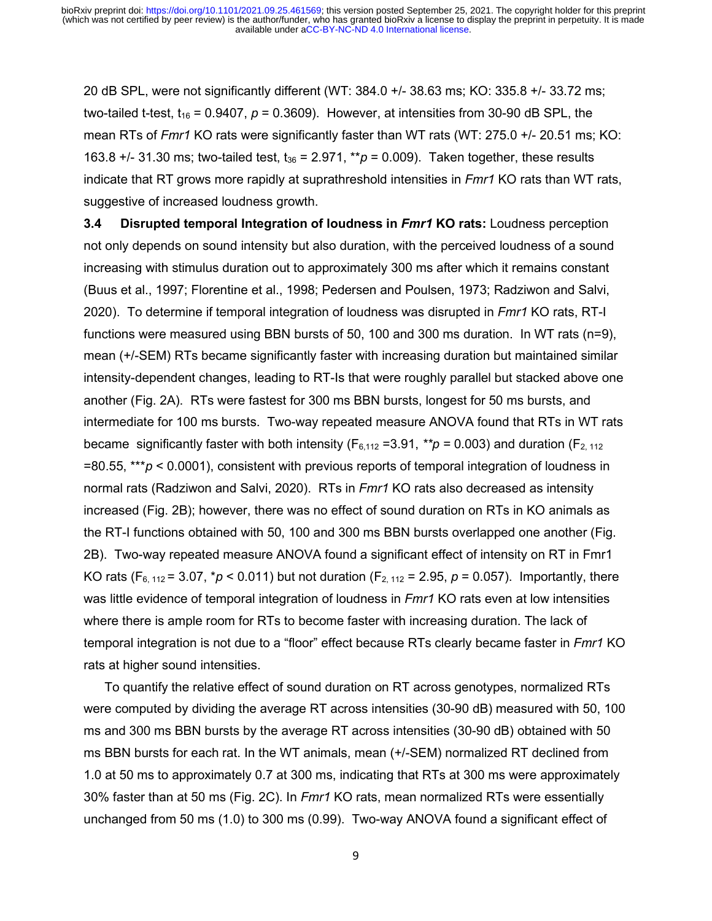20 dB SPL, were not significantly different (WT: 384.0 +/- 38.63 ms; KO: 335.8 +/- 33.72 ms; two-tailed t-test,  $t_{16}$  = 0.9407,  $p$  = 0.3609). However, at intensities from 30-90 dB SPL, the mean RTs of *Fmr1* KO rats were significantly faster than WT rats (WT: 275.0 +/- 20.51 ms; KO: 163.8  $+/-$  31.30 ms; two-tailed test,  $t_{36} = 2.971$ ,  $**p = 0.009$ ). Taken together, these results indicate that RT grows more rapidly at suprathreshold intensities in *Fmr1* KO rats than WT rats, suggestive of increased loudness growth.

**3.4 Disrupted temporal Integration of loudness in** *Fmr1* **KO rats:** Loudness perception not only depends on sound intensity but also duration, with the perceived loudness of a sound increasing with stimulus duration out to approximately 300 ms after which it remains constant (Buus et al., 1997; Florentine et al., 1998; Pedersen and Poulsen, 1973; Radziwon and Salvi, 2020). To determine if temporal integration of loudness was disrupted in *Fmr1* KO rats, RT-I functions were measured using BBN bursts of 50, 100 and 300 ms duration. In WT rats (n=9), mean (+/-SEM) RTs became significantly faster with increasing duration but maintained similar intensity-dependent changes, leading to RT-Is that were roughly parallel but stacked above one another (Fig. 2A). RTs were fastest for 300 ms BBN bursts, longest for 50 ms bursts, and intermediate for 100 ms bursts. Two-way repeated measure ANOVA found that RTs in WT rats became significantly faster with both intensity ( $F_{6,112}$  =3.91, \*\*p = 0.003) and duration ( $F_{2,112}$ ) =80.55, \*\*\**p* < 0.0001), consistent with previous reports of temporal integration of loudness in normal rats (Radziwon and Salvi, 2020). RTs in *Fmr1* KO rats also decreased as intensity increased (Fig. 2B); however, there was no effect of sound duration on RTs in KO animals as the RT-I functions obtained with 50, 100 and 300 ms BBN bursts overlapped one another (Fig. 2B). Two-way repeated measure ANOVA found a significant effect of intensity on RT in Fmr1 KO rats (F<sub>6, 112</sub> = 3.07,  $* p < 0.011$ ) but not duration (F<sub>2, 112</sub> = 2.95,  $p = 0.057$ ). Importantly, there was little evidence of temporal integration of loudness in *Fmr1* KO rats even at low intensities where there is ample room for RTs to become faster with increasing duration. The lack of temporal integration is not due to a "floor" effect because RTs clearly became faster in *Fmr1* KO rats at higher sound intensities.

To quantify the relative effect of sound duration on RT across genotypes, normalized RTs were computed by dividing the average RT across intensities (30-90 dB) measured with 50, 100 ms and 300 ms BBN bursts by the average RT across intensities (30-90 dB) obtained with 50 ms BBN bursts for each rat. In the WT animals, mean (+/-SEM) normalized RT declined from 1.0 at 50 ms to approximately 0.7 at 300 ms, indicating that RTs at 300 ms were approximately 30% faster than at 50 ms (Fig. 2C). In *Fmr1* KO rats, mean normalized RTs were essentially unchanged from 50 ms (1.0) to 300 ms (0.99). Two-way ANOVA found a significant effect of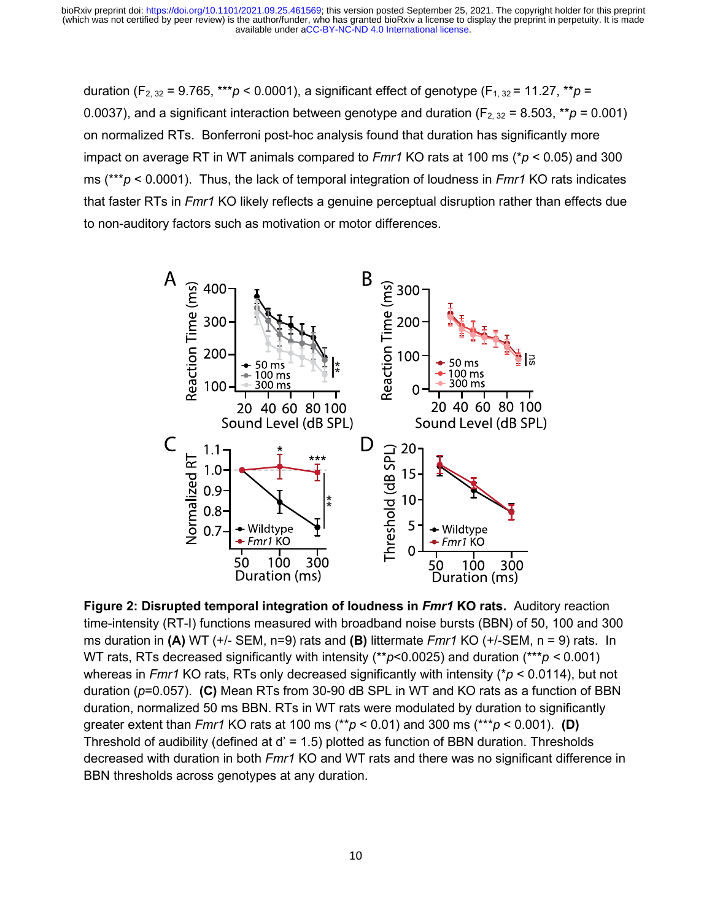duration (F<sub>2, 32</sub> = 9.765, \*\*\**p* < 0.0001), a significant effect of genotype (F<sub>1, 32</sub> = 11.27, \*\**p* = 0.0037), and a significant interaction between genotype and duration ( $F_{2, 32}$  = 8.503, \*\**p* = 0.001) on normalized RTs. Bonferroni post-hoc analysis found that duration has significantly more impact on average RT in WT animals compared to *Fmr1* KO rats at 100 ms (\**p* < 0.05) and 300 ms (\*\*\**p* < 0.0001). Thus, the lack of temporal integration of loudness in *Fmr1* KO rats indicates that faster RTs in *Fmr1* KO likely reflects a genuine perceptual disruption rather than effects due to non-auditory factors such as motivation or motor differences.



**Figure 2: Disrupted temporal integration of loudness in** *Fmr1* **KO rats.** Auditory reaction time-intensity (RT-I) functions measured with broadband noise bursts (BBN) of 50, 100 and 300 ms duration in **(A)** WT (+/- SEM, n=9) rats and **(B)** littermate *Fmr1* KO (+/-SEM, n = 9) rats. In WT rats, RTs decreased significantly with intensity (\*\**p*<0.0025) and duration (\*\*\**p <* 0.001) whereas in *Fmr1* KO rats, RTs only decreased significantly with intensity (\**p* < 0.0114), but not duration (*p*=0.057). **(C)** Mean RTs from 30-90 dB SPL in WT and KO rats as a function of BBN duration, normalized 50 ms BBN. RTs in WT rats were modulated by duration to significantly greater extent than *Fmr1* KO rats at 100 ms (\*\**p* < 0.01) and 300 ms (\*\*\**p* < 0.001). **(D)** Threshold of audibility (defined at d' = 1.5) plotted as function of BBN duration. Thresholds decreased with duration in both *Fmr1* KO and WT rats and there was no significant difference in BBN thresholds across genotypes at any duration.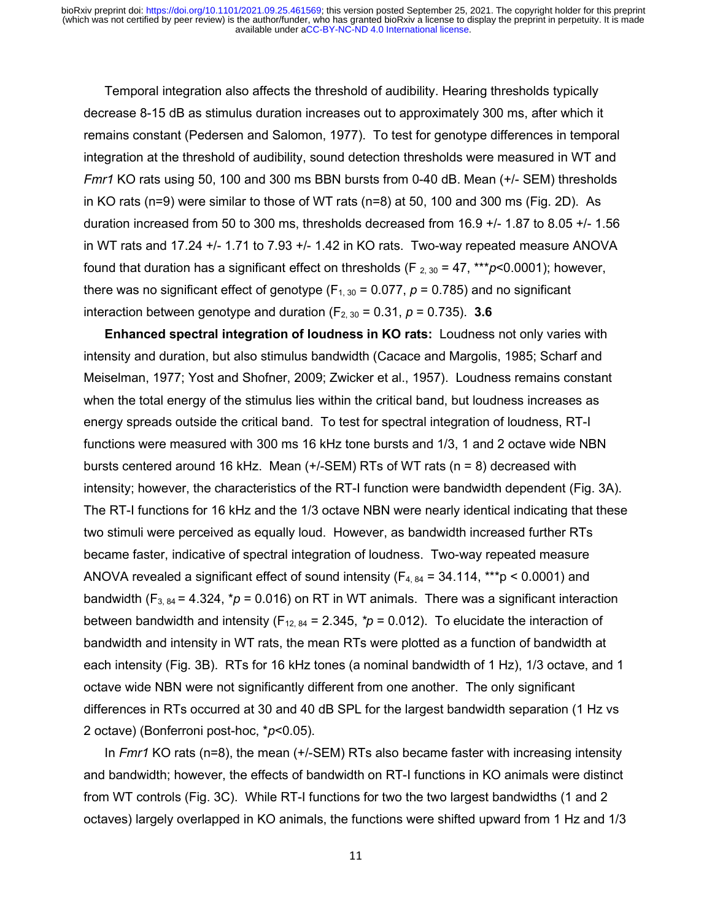Temporal integration also affects the threshold of audibility. Hearing thresholds typically decrease 8-15 dB as stimulus duration increases out to approximately 300 ms, after which it remains constant (Pedersen and Salomon, 1977). To test for genotype differences in temporal integration at the threshold of audibility, sound detection thresholds were measured in WT and *Fmr1* KO rats using 50, 100 and 300 ms BBN bursts from 0-40 dB. Mean (+/- SEM) thresholds in KO rats (n=9) were similar to those of WT rats (n=8) at 50, 100 and 300 ms (Fig. 2D). As duration increased from 50 to 300 ms, thresholds decreased from 16.9 +/- 1.87 to 8.05 +/- 1.56 in WT rats and 17.24 +/- 1.71 to 7.93 +/- 1.42 in KO rats. Two-way repeated measure ANOVA found that duration has a significant effect on thresholds (F  $_{2,30}$  = 47, \*\*\* $p$ <0.0001); however, there was no significant effect of genotype ( $F_{1, 30}$  = 0.077,  $p$  = 0.785) and no significant interaction between genotype and duration  $(F_{2, 30} = 0.31, p = 0.735)$ . **3.6** 

**Enhanced spectral integration of loudness in KO rats:** Loudness not only varies with intensity and duration, but also stimulus bandwidth (Cacace and Margolis, 1985; Scharf and Meiselman, 1977; Yost and Shofner, 2009; Zwicker et al., 1957). Loudness remains constant when the total energy of the stimulus lies within the critical band, but loudness increases as energy spreads outside the critical band. To test for spectral integration of loudness, RT-I functions were measured with 300 ms 16 kHz tone bursts and 1/3, 1 and 2 octave wide NBN bursts centered around 16 kHz. Mean (+/-SEM) RTs of WT rats (n = 8) decreased with intensity; however, the characteristics of the RT-I function were bandwidth dependent (Fig. 3A). The RT-I functions for 16 kHz and the 1/3 octave NBN were nearly identical indicating that these two stimuli were perceived as equally loud. However, as bandwidth increased further RTs became faster, indicative of spectral integration of loudness. Two-way repeated measure ANOVA revealed a significant effect of sound intensity  $(F_{4, 84} = 34.114, **p < 0.0001)$  and bandwidth ( $F_{3, 84}$  = 4.324,  $* p = 0.016$ ) on RT in WT animals. There was a significant interaction between bandwidth and intensity ( $F_{12, 84} = 2.345$ ,  $p = 0.012$ ). To elucidate the interaction of bandwidth and intensity in WT rats, the mean RTs were plotted as a function of bandwidth at each intensity (Fig. 3B). RTs for 16 kHz tones (a nominal bandwidth of 1 Hz), 1/3 octave, and 1 octave wide NBN were not significantly different from one another. The only significant differences in RTs occurred at 30 and 40 dB SPL for the largest bandwidth separation (1 Hz vs 2 octave) (Bonferroni post-hoc, \**p*<0.05).

In *Fmr1* KO rats (n=8), the mean (+/-SEM) RTs also became faster with increasing intensity and bandwidth; however, the effects of bandwidth on RT-I functions in KO animals were distinct from WT controls (Fig. 3C). While RT-I functions for two the two largest bandwidths (1 and 2 octaves) largely overlapped in KO animals, the functions were shifted upward from 1 Hz and 1/3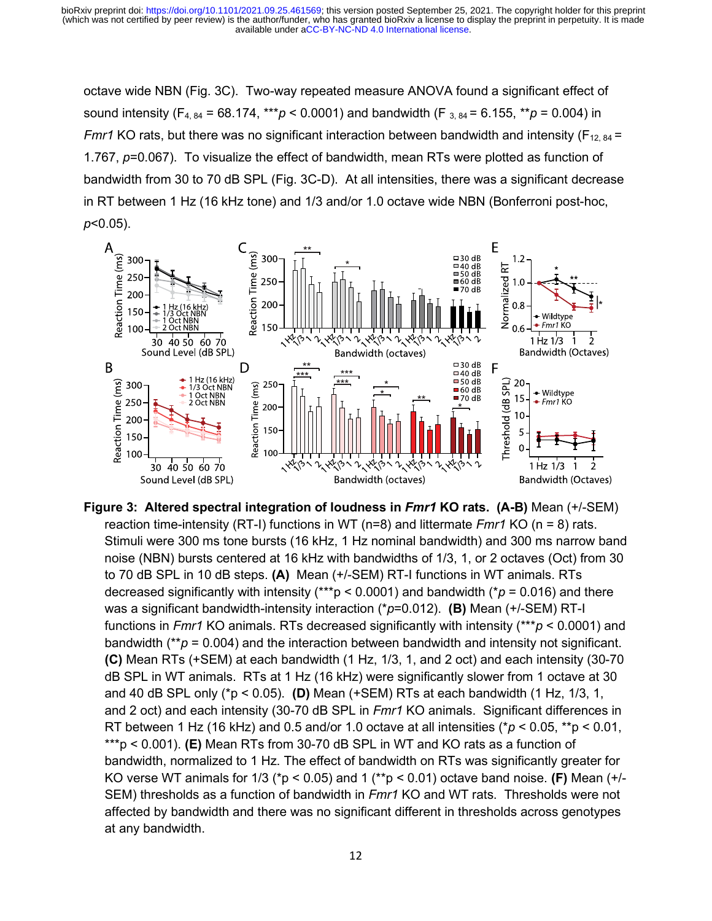octave wide NBN (Fig. 3C). Two-way repeated measure ANOVA found a significant effect of sound intensity ( $F_{4, 84}$  = 68.174, \*\*\**p* < 0.0001) and bandwidth ( $F_{3, 84}$  = 6.155, \*\**p* = 0.004) in *Fmr1* KO rats, but there was no significant interaction between bandwidth and intensity ( $F_{12, 84}$  = 1.767, *p*=0.067). To visualize the effect of bandwidth, mean RTs were plotted as function of bandwidth from 30 to 70 dB SPL (Fig. 3C-D). At all intensities, there was a significant decrease in RT between 1 Hz (16 kHz tone) and 1/3 and/or 1.0 octave wide NBN (Bonferroni post-hoc, *p*<0.05).



**Figure 3: Altered spectral integration of loudness in** *Fmr1* **KO rats. (A-B)** Mean (+/-SEM) reaction time-intensity (RT-I) functions in WT (n=8) and littermate *Fmr1* KO (n = 8) rats. Stimuli were 300 ms tone bursts (16 kHz, 1 Hz nominal bandwidth) and 300 ms narrow band noise (NBN) bursts centered at 16 kHz with bandwidths of 1/3, 1, or 2 octaves (Oct) from 30 to 70 dB SPL in 10 dB steps. **(A)** Mean (+/-SEM) RT-I functions in WT animals. RTs decreased significantly with intensity (\*\*\*p < 0.0001) and bandwidth (\**p* = 0.016) and there was a significant bandwidth-intensity interaction (\**p*=0.012). **(B)** Mean (+/-SEM) RT-I functions in *Fmr1* KO animals. RTs decreased significantly with intensity (\*\*\**p* < 0.0001) and bandwidth (\*\**p* = 0.004) and the interaction between bandwidth and intensity not significant. **(C)** Mean RTs (+SEM) at each bandwidth (1 Hz, 1/3, 1, and 2 oct) and each intensity (30-70 dB SPL in WT animals. RTs at 1 Hz (16 kHz) were significantly slower from 1 octave at 30 and 40 dB SPL only (\*p < 0.05). **(D)** Mean (+SEM) RTs at each bandwidth (1 Hz, 1/3, 1, and 2 oct) and each intensity (30-70 dB SPL in *Fmr1* KO animals. Significant differences in RT between 1 Hz (16 kHz) and 0.5 and/or 1.0 octave at all intensities (\**p* < 0.05, \*\*p < 0.01, \*\*\*p < 0.001). **(E)** Mean RTs from 30-70 dB SPL in WT and KO rats as a function of bandwidth, normalized to 1 Hz. The effect of bandwidth on RTs was significantly greater for KO verse WT animals for 1/3 (\*p < 0.05) and 1 (\*\*p < 0.01) octave band noise. **(F)** Mean (+/- SEM) thresholds as a function of bandwidth in *Fmr1* KO and WT rats. Thresholds were not affected by bandwidth and there was no significant different in thresholds across genotypes at any bandwidth.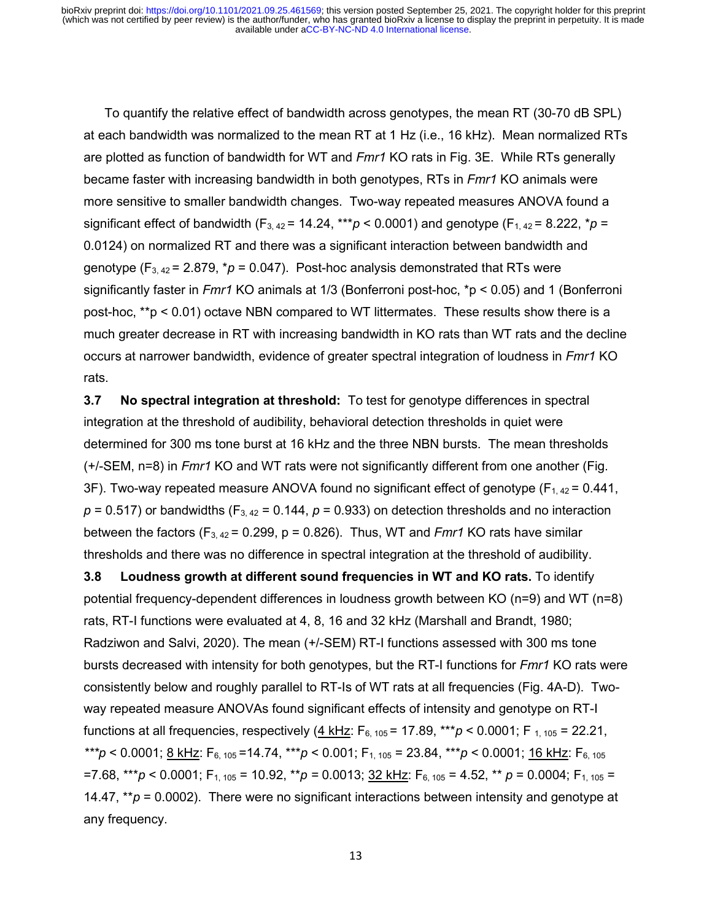To quantify the relative effect of bandwidth across genotypes, the mean RT (30-70 dB SPL) at each bandwidth was normalized to the mean RT at 1 Hz (i.e., 16 kHz). Mean normalized RTs are plotted as function of bandwidth for WT and *Fmr1* KO rats in Fig. 3E. While RTs generally became faster with increasing bandwidth in both genotypes, RTs in *Fmr1* KO animals were more sensitive to smaller bandwidth changes. Two-way repeated measures ANOVA found a significant effect of bandwidth ( $F_{3, 42}$  = 14.24, \*\*\**p* < 0.0001) and genotype ( $F_{1, 42}$  = 8.222, \**p* = 0.0124) on normalized RT and there was a significant interaction between bandwidth and genotype  $(F_{3,42} = 2.879, *p = 0.047)$ . Post-hoc analysis demonstrated that RTs were significantly faster in *Fmr1* KO animals at 1/3 (Bonferroni post-hoc, \*p < 0.05) and 1 (Bonferroni post-hoc, \*\*p < 0.01) octave NBN compared to WT littermates. These results show there is a much greater decrease in RT with increasing bandwidth in KO rats than WT rats and the decline occurs at narrower bandwidth, evidence of greater spectral integration of loudness in *Fmr1* KO rats.

**3.7 No spectral integration at threshold:** To test for genotype differences in spectral integration at the threshold of audibility, behavioral detection thresholds in quiet were determined for 300 ms tone burst at 16 kHz and the three NBN bursts. The mean thresholds (+/-SEM, n=8) in *Fmr1* KO and WT rats were not significantly different from one another (Fig. 3F). Two-way repeated measure ANOVA found no significant effect of genotype  $(F_{1, 42} = 0.441)$ ,  $p = 0.517$ ) or bandwidths (F<sub>3, 42</sub> = 0.144,  $p = 0.933$ ) on detection thresholds and no interaction between the factors ( $F_{3,42}$  = 0.299, p = 0.826). Thus, WT and *Fmr1* KO rats have similar thresholds and there was no difference in spectral integration at the threshold of audibility.

**3.8 Loudness growth at different sound frequencies in WT and KO rats.** To identify potential frequency-dependent differences in loudness growth between KO (n=9) and WT (n=8) rats, RT-I functions were evaluated at 4, 8, 16 and 32 kHz (Marshall and Brandt, 1980; Radziwon and Salvi, 2020). The mean (+/-SEM) RT-I functions assessed with 300 ms tone bursts decreased with intensity for both genotypes, but the RT-I functions for *Fmr1* KO rats were consistently below and roughly parallel to RT-Is of WT rats at all frequencies (Fig. 4A-D). Twoway repeated measure ANOVAs found significant effects of intensity and genotype on RT-I functions at all frequencies, respectively (4 kHz:  $F_{6, 105} = 17.89$ , \*\*\* $p < 0.0001$ ; F<sub>1, 105</sub> = 22.21, *\*\*\*p* < 0.0001; 8 kHz: F6, 105 =14.74, \*\*\**p* < 0.001; F1, 105 = 23.84, \*\*\**p* < 0.0001; 16 kHz: F6, 105  $=7.68$ , \*\*\**p* < 0.0001; F<sub>1, 105</sub> = 10.92, \*\**p* = 0.0013; 32 kHz: F<sub>6, 105</sub> = 4.52, \*\* *p* = 0.0004; F<sub>1, 105</sub> = 14.47,  $*_{p}$  = 0.0002). There were no significant interactions between intensity and genotype at any frequency.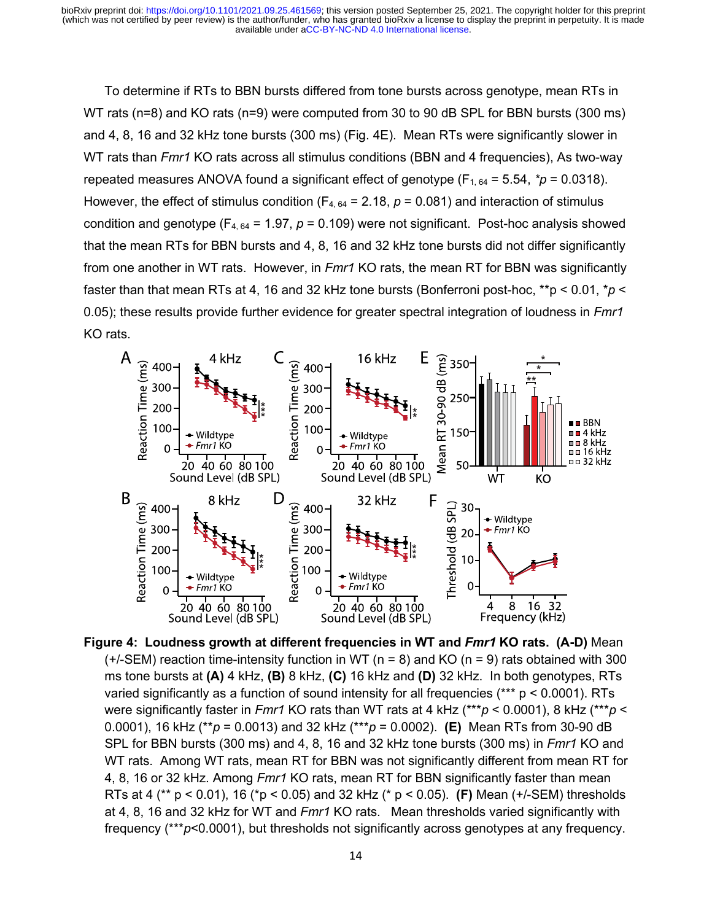To determine if RTs to BBN bursts differed from tone bursts across genotype, mean RTs in WT rats (n=8) and KO rats (n=9) were computed from 30 to 90 dB SPL for BBN bursts (300 ms) and 4, 8, 16 and 32 kHz tone bursts (300 ms) (Fig. 4E). Mean RTs were significantly slower in WT rats than *Fmr1* KO rats across all stimulus conditions (BBN and 4 frequencies), As two-way repeated measures ANOVA found a significant effect of genotype  $(F_{1, 64} = 5.54, *p = 0.0318)$ . However, the effect of stimulus condition ( $F_{4, 64} = 2.18$ ,  $p = 0.081$ ) and interaction of stimulus condition and genotype ( $F_{4, 64}$  = 1.97,  $p$  = 0.109) were not significant. Post-hoc analysis showed that the mean RTs for BBN bursts and 4, 8, 16 and 32 kHz tone bursts did not differ significantly from one another in WT rats. However, in *Fmr1* KO rats, the mean RT for BBN was significantly faster than that mean RTs at 4, 16 and 32 kHz tone bursts (Bonferroni post-hoc, \*\*p < 0.01, \**p* < 0.05); these results provide further evidence for greater spectral integration of loudness in *Fmr1* KO rats.



**Figure 4: Loudness growth at different frequencies in WT and** *Fmr1* **KO rats. (A-D)** Mean  $(+/-SEM)$  reaction time-intensity function in WT (n = 8) and KO (n = 9) rats obtained with 300 ms tone bursts at **(A)** 4 kHz, **(B)** 8 kHz, **(C)** 16 kHz and **(D)** 32 kHz. In both genotypes, RTs varied significantly as a function of sound intensity for all frequencies  $(*** p < 0.0001)$ . RTs were significantly faster in *Fmr1* KO rats than WT rats at 4 kHz (\*\*\**p* < 0.0001), 8 kHz (\*\*\**p* < 0.0001), 16 kHz (\*\**p* = 0.0013) and 32 kHz (\*\*\**p* = 0.0002). **(E)** Mean RTs from 30-90 dB SPL for BBN bursts (300 ms) and 4, 8, 16 and 32 kHz tone bursts (300 ms) in *Fmr1* KO and WT rats. Among WT rats, mean RT for BBN was not significantly different from mean RT for 4, 8, 16 or 32 kHz. Among *Fmr1* KO rats, mean RT for BBN significantly faster than mean RTs at 4 (\*\* p < 0.01), 16 (\*p < 0.05) and 32 kHz (\* p < 0.05). **(F)** Mean (+/-SEM) thresholds at 4, 8, 16 and 32 kHz for WT and *Fmr1* KO rats. Mean thresholds varied significantly with frequency (\*\*\**p*<0.0001), but thresholds not significantly across genotypes at any frequency.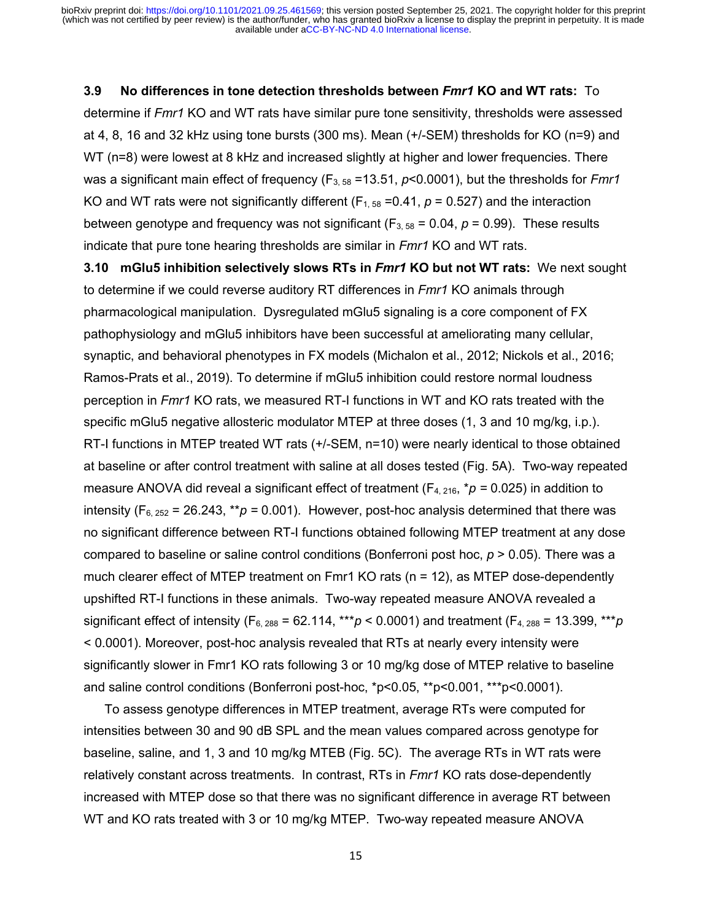#### **3.9 No differences in tone detection thresholds between** *Fmr1* **KO and WT rats:** To

determine if *Fmr1* KO and WT rats have similar pure tone sensitivity, thresholds were assessed at 4, 8, 16 and 32 kHz using tone bursts (300 ms). Mean (+/-SEM) thresholds for KO (n=9) and WT (n=8) were lowest at 8 kHz and increased slightly at higher and lower frequencies. There was a significant main effect of frequency (F<sub>3, 58</sub> = 13.51, *p*<0.0001), but the thresholds for *Fmr1* KO and WT rats were not significantly different ( $F_{1, 58}$  =0.41,  $p = 0.527$ ) and the interaction between genotype and frequency was not significant  $(F_{3.58} = 0.04, p = 0.99)$ . These results indicate that pure tone hearing thresholds are similar in *Fmr1* KO and WT rats.

**3.10 mGlu5 inhibition selectively slows RTs in** *Fmr1* **KO but not WT rats:** We next sought to determine if we could reverse auditory RT differences in *Fmr1* KO animals through pharmacological manipulation. Dysregulated mGlu5 signaling is a core component of FX pathophysiology and mGlu5 inhibitors have been successful at ameliorating many cellular, synaptic, and behavioral phenotypes in FX models (Michalon et al., 2012; Nickols et al., 2016; Ramos-Prats et al., 2019). To determine if mGlu5 inhibition could restore normal loudness perception in *Fmr1* KO rats, we measured RT-I functions in WT and KO rats treated with the specific mGlu5 negative allosteric modulator MTEP at three doses (1, 3 and 10 mg/kg, i.p.). RT-I functions in MTEP treated WT rats (+/-SEM, n=10) were nearly identical to those obtained at baseline or after control treatment with saline at all doses tested (Fig. 5A). Two-way repeated measure ANOVA did reveal a significant effect of treatment  $(F_{4, 216}, *p = 0.025)$  in addition to intensity ( $F_{6, 252}$  = 26.243, \*\* $p = 0.001$ ). However, post-hoc analysis determined that there was no significant difference between RT-I functions obtained following MTEP treatment at any dose compared to baseline or saline control conditions (Bonferroni post hoc, *p* > 0.05). There was a much clearer effect of MTEP treatment on Fmr1 KO rats (n = 12), as MTEP dose-dependently upshifted RT-I functions in these animals. Two-way repeated measure ANOVA revealed a significant effect of intensity ( $F_{6, 288} = 62.114$ , \*\*\**p* < 0.0001) and treatment ( $F_{4, 288} = 13.399$ , \*\*\**p* < 0.0001). Moreover, post-hoc analysis revealed that RTs at nearly every intensity were significantly slower in Fmr1 KO rats following 3 or 10 mg/kg dose of MTEP relative to baseline and saline control conditions (Bonferroni post-hoc, \*p<0.05, \*\*p<0.001, \*\*\*p<0.0001).

To assess genotype differences in MTEP treatment, average RTs were computed for intensities between 30 and 90 dB SPL and the mean values compared across genotype for baseline, saline, and 1, 3 and 10 mg/kg MTEB (Fig. 5C). The average RTs in WT rats were relatively constant across treatments. In contrast, RTs in *Fmr1* KO rats dose-dependently increased with MTEP dose so that there was no significant difference in average RT between WT and KO rats treated with 3 or 10 mg/kg MTEP. Two-way repeated measure ANOVA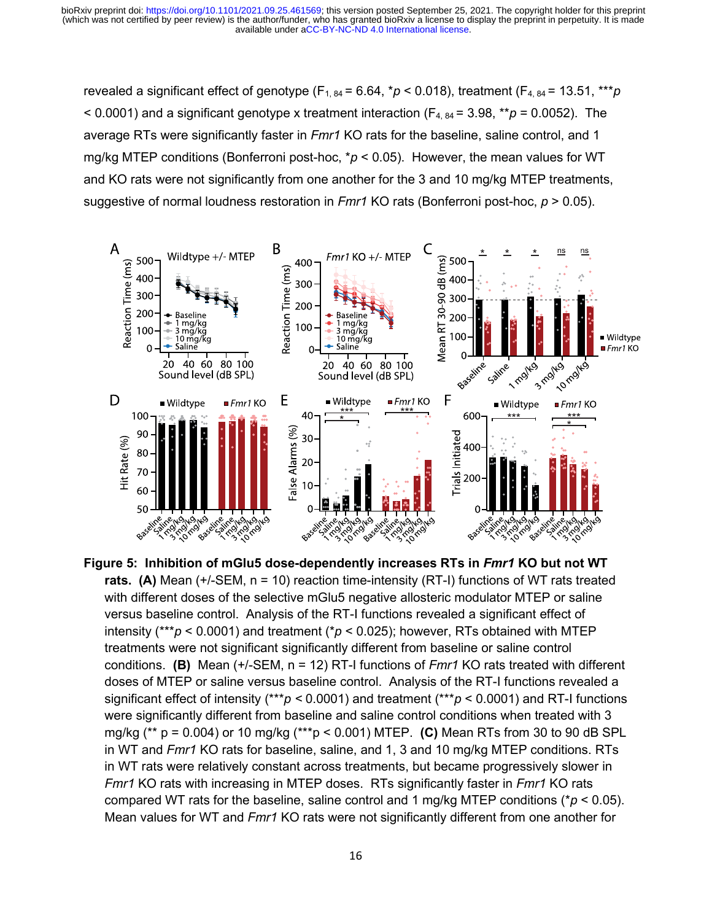revealed a significant effect of genotype  $(F_{1, 84} = 6.64, *p < 0.018)$ , treatment  $(F_{4, 84} = 13.51, **p)$  $<$  0.0001) and a significant genotype x treatment interaction ( $F_{4, 84}$  = 3.98, \*\* $p$  = 0.0052). The average RTs were significantly faster in *Fmr1* KO rats for the baseline, saline control, and 1 mg/kg MTEP conditions (Bonferroni post-hoc, \**p* < 0.05). However, the mean values for WT and KO rats were not significantly from one another for the 3 and 10 mg/kg MTEP treatments, suggestive of normal loudness restoration in *Fmr1* KO rats (Bonferroni post-hoc, *p* > 0.05).



**Figure 5: Inhibition of mGlu5 dose-dependently increases RTs in** *Fmr1* **KO but not WT rats.** (A) Mean (+/-SEM, n = 10) reaction time-intensity (RT-I) functions of WT rats treated with different doses of the selective mGlu5 negative allosteric modulator MTEP or saline versus baseline control. Analysis of the RT-I functions revealed a significant effect of intensity (\*\*\**p* < 0.0001) and treatment (\**p* < 0.025); however, RTs obtained with MTEP treatments were not significant significantly different from baseline or saline control conditions. **(B)** Mean (+/-SEM, n = 12) RT-I functions of *Fmr1* KO rats treated with different doses of MTEP or saline versus baseline control. Analysis of the RT-I functions revealed a significant effect of intensity (\*\*\**p <* 0.0001) and treatment (\*\*\**p* < 0.0001) and RT-I functions were significantly different from baseline and saline control conditions when treated with 3 mg/kg (\*\* p = 0.004) or 10 mg/kg (\*\*\*p < 0.001) MTEP. **(C)** Mean RTs from 30 to 90 dB SPL in WT and *Fmr1* KO rats for baseline, saline, and 1, 3 and 10 mg/kg MTEP conditions. RTs in WT rats were relatively constant across treatments, but became progressively slower in *Fmr1* KO rats with increasing in MTEP doses. RTs significantly faster in *Fmr1* KO rats compared WT rats for the baseline, saline control and 1 mg/kg MTEP conditions (\**p* < 0.05). Mean values for WT and *Fmr1* KO rats were not significantly different from one another for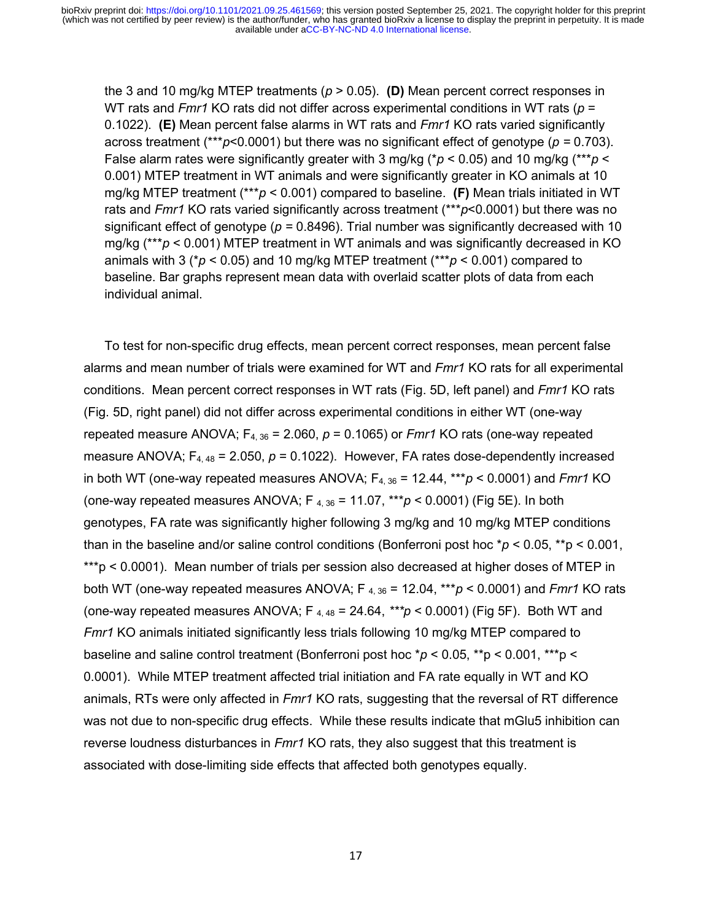the 3 and 10 mg/kg MTEP treatments (*p* > 0.05). **(D)** Mean percent correct responses in WT rats and *Fmr1* KO rats did not differ across experimental conditions in WT rats (*p* = 0.1022). **(E)** Mean percent false alarms in WT rats and *Fmr1* KO rats varied significantly across treatment (\*\*\**p*<0.0001) but there was no significant effect of genotype (*p =* 0.703). False alarm rates were significantly greater with 3 mg/kg (\**p* < 0.05) and 10 mg/kg (\*\*\**p* < 0.001) MTEP treatment in WT animals and were significantly greater in KO animals at 10 mg/kg MTEP treatment (\*\*\**p* < 0.001) compared to baseline. **(F)** Mean trials initiated in WT rats and *Fmr1* KO rats varied significantly across treatment (\*\*\**p*<0.0001) but there was no significant effect of genotype (*p =* 0.8496). Trial number was significantly decreased with 10 mg/kg (\*\*\**p* < 0.001) MTEP treatment in WT animals and was significantly decreased in KO animals with 3 (\**p* < 0.05) and 10 mg/kg MTEP treatment (\*\*\**p* < 0.001) compared to baseline. Bar graphs represent mean data with overlaid scatter plots of data from each individual animal.

To test for non-specific drug effects, mean percent correct responses, mean percent false alarms and mean number of trials were examined for WT and *Fmr1* KO rats for all experimental conditions. Mean percent correct responses in WT rats (Fig. 5D, left panel) and *Fmr1* KO rats (Fig. 5D, right panel) did not differ across experimental conditions in either WT (one-way repeated measure ANOVA;  $F_{4, 36} = 2.060$ ,  $p = 0.1065$ ) or *Fmr1* KO rats (one-way repeated measure ANOVA;  $F_{4,48}$  = 2.050,  $p = 0.1022$ ). However, FA rates dose-dependently increased in both WT (one-way repeated measures ANOVA;  $F_{4,36}$  = 12.44,  $***p$  < 0.0001) and *Fmr1* KO (one-way repeated measures ANOVA; F 4, 36 = 11.07, \*\*\**p* < 0.0001) (Fig 5E). In both genotypes, FA rate was significantly higher following 3 mg/kg and 10 mg/kg MTEP conditions than in the baseline and/or saline control conditions (Bonferroni post hoc \**p* < 0.05, \*\*p < 0.001, \*\*\*p < 0.0001). Mean number of trials per session also decreased at higher doses of MTEP in both WT (one-way repeated measures ANOVA;  $F_{4,36}$  = 12.04,  $***p$  < 0.0001) and *Fmr1* KO rats (one-way repeated measures ANOVA;  $F_{4,48} = 24.64$ ,  $***p < 0.0001$ ) (Fig 5F). Both WT and *Fmr1* KO animals initiated significantly less trials following 10 mg/kg MTEP compared to baseline and saline control treatment (Bonferroni post hoc \**p* < 0.05, \*\*p < 0.001, \*\*\*p < 0.0001). While MTEP treatment affected trial initiation and FA rate equally in WT and KO animals, RTs were only affected in *Fmr1* KO rats, suggesting that the reversal of RT difference was not due to non-specific drug effects. While these results indicate that mGlu5 inhibition can reverse loudness disturbances in *Fmr1* KO rats, they also suggest that this treatment is associated with dose-limiting side effects that affected both genotypes equally.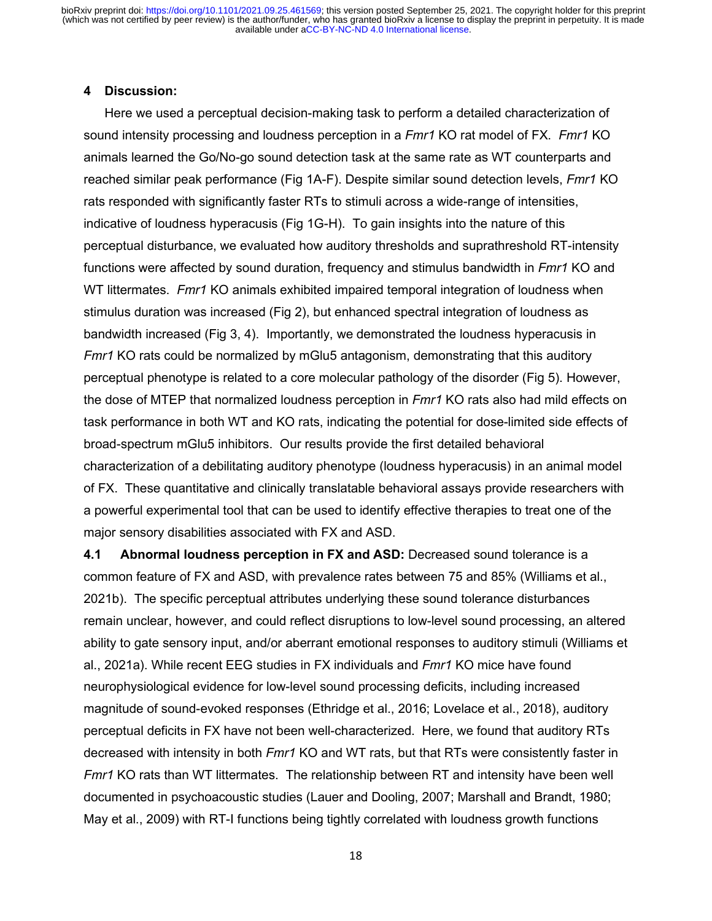#### **4 Discussion:**

Here we used a perceptual decision-making task to perform a detailed characterization of sound intensity processing and loudness perception in a *Fmr1* KO rat model of FX. *Fmr1* KO animals learned the Go/No-go sound detection task at the same rate as WT counterparts and reached similar peak performance (Fig 1A-F). Despite similar sound detection levels, *Fmr1* KO rats responded with significantly faster RTs to stimuli across a wide-range of intensities, indicative of loudness hyperacusis (Fig 1G-H). To gain insights into the nature of this perceptual disturbance, we evaluated how auditory thresholds and suprathreshold RT-intensity functions were affected by sound duration, frequency and stimulus bandwidth in *Fmr1* KO and WT littermates. *Fmr1* KO animals exhibited impaired temporal integration of loudness when stimulus duration was increased (Fig 2), but enhanced spectral integration of loudness as bandwidth increased (Fig 3, 4). Importantly, we demonstrated the loudness hyperacusis in *Fmr1* KO rats could be normalized by mGlu5 antagonism, demonstrating that this auditory perceptual phenotype is related to a core molecular pathology of the disorder (Fig 5). However, the dose of MTEP that normalized loudness perception in *Fmr1* KO rats also had mild effects on task performance in both WT and KO rats, indicating the potential for dose-limited side effects of broad-spectrum mGlu5 inhibitors. Our results provide the first detailed behavioral characterization of a debilitating auditory phenotype (loudness hyperacusis) in an animal model of FX. These quantitative and clinically translatable behavioral assays provide researchers with a powerful experimental tool that can be used to identify effective therapies to treat one of the major sensory disabilities associated with FX and ASD.

**4.1 Abnormal loudness perception in FX and ASD:** Decreased sound tolerance is a common feature of FX and ASD, with prevalence rates between 75 and 85% (Williams et al., 2021b). The specific perceptual attributes underlying these sound tolerance disturbances remain unclear, however, and could reflect disruptions to low-level sound processing, an altered ability to gate sensory input, and/or aberrant emotional responses to auditory stimuli (Williams et al., 2021a). While recent EEG studies in FX individuals and *Fmr1* KO mice have found neurophysiological evidence for low-level sound processing deficits, including increased magnitude of sound-evoked responses (Ethridge et al., 2016; Lovelace et al., 2018), auditory perceptual deficits in FX have not been well-characterized. Here, we found that auditory RTs decreased with intensity in both *Fmr1* KO and WT rats, but that RTs were consistently faster in *Fmr1* KO rats than WT littermates. The relationship between RT and intensity have been well documented in psychoacoustic studies (Lauer and Dooling, 2007; Marshall and Brandt, 1980; May et al., 2009) with RT-I functions being tightly correlated with loudness growth functions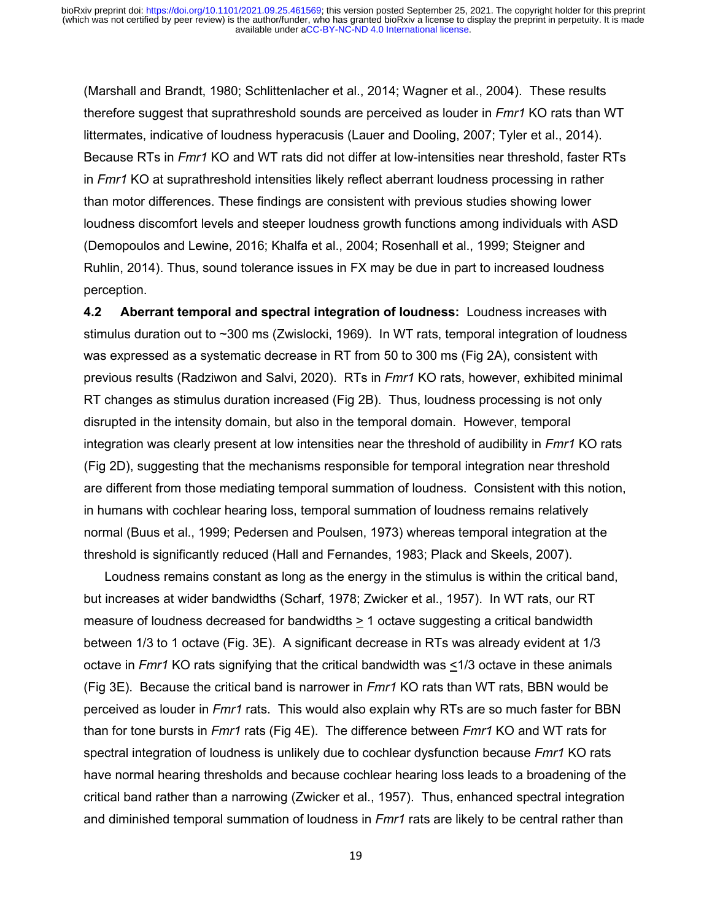(Marshall and Brandt, 1980; Schlittenlacher et al., 2014; Wagner et al., 2004). These results therefore suggest that suprathreshold sounds are perceived as louder in *Fmr1* KO rats than WT littermates, indicative of loudness hyperacusis (Lauer and Dooling, 2007; Tyler et al., 2014). Because RTs in *Fmr1* KO and WT rats did not differ at low-intensities near threshold, faster RTs in *Fmr1* KO at suprathreshold intensities likely reflect aberrant loudness processing in rather than motor differences. These findings are consistent with previous studies showing lower loudness discomfort levels and steeper loudness growth functions among individuals with ASD (Demopoulos and Lewine, 2016; Khalfa et al., 2004; Rosenhall et al., 1999; Steigner and Ruhlin, 2014). Thus, sound tolerance issues in FX may be due in part to increased loudness perception.

**4.2 Aberrant temporal and spectral integration of loudness:** Loudness increases with stimulus duration out to ~300 ms (Zwislocki, 1969). In WT rats, temporal integration of loudness was expressed as a systematic decrease in RT from 50 to 300 ms (Fig 2A), consistent with previous results (Radziwon and Salvi, 2020). RTs in *Fmr1* KO rats, however, exhibited minimal RT changes as stimulus duration increased (Fig 2B). Thus, loudness processing is not only disrupted in the intensity domain, but also in the temporal domain. However, temporal integration was clearly present at low intensities near the threshold of audibility in *Fmr1* KO rats (Fig 2D), suggesting that the mechanisms responsible for temporal integration near threshold are different from those mediating temporal summation of loudness. Consistent with this notion, in humans with cochlear hearing loss, temporal summation of loudness remains relatively normal (Buus et al., 1999; Pedersen and Poulsen, 1973) whereas temporal integration at the threshold is significantly reduced (Hall and Fernandes, 1983; Plack and Skeels, 2007).

Loudness remains constant as long as the energy in the stimulus is within the critical band, but increases at wider bandwidths (Scharf, 1978; Zwicker et al., 1957). In WT rats, our RT measure of loudness decreased for bandwidths > 1 octave suggesting a critical bandwidth between 1/3 to 1 octave (Fig. 3E). A significant decrease in RTs was already evident at 1/3 octave in *Fmr1* KO rats signifying that the critical bandwidth was <1/3 octave in these animals (Fig 3E). Because the critical band is narrower in *Fmr1* KO rats than WT rats, BBN would be perceived as louder in *Fmr1* rats. This would also explain why RTs are so much faster for BBN than for tone bursts in *Fmr1* rats (Fig 4E). The difference between *Fmr1* KO and WT rats for spectral integration of loudness is unlikely due to cochlear dysfunction because *Fmr1* KO rats have normal hearing thresholds and because cochlear hearing loss leads to a broadening of the critical band rather than a narrowing (Zwicker et al., 1957). Thus, enhanced spectral integration and diminished temporal summation of loudness in *Fmr1* rats are likely to be central rather than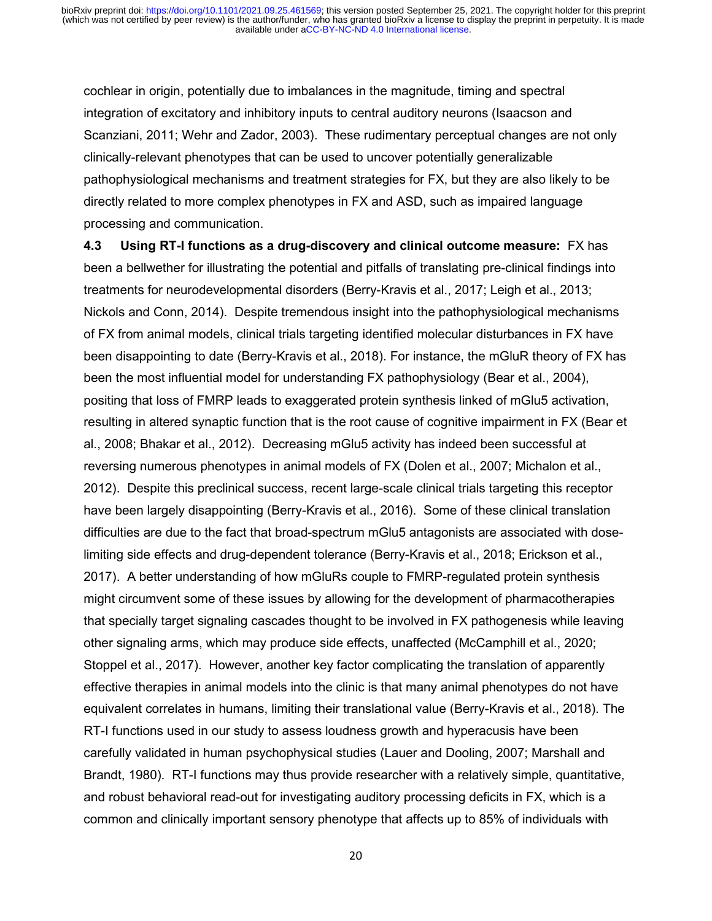cochlear in origin, potentially due to imbalances in the magnitude, timing and spectral integration of excitatory and inhibitory inputs to central auditory neurons (Isaacson and Scanziani, 2011; Wehr and Zador, 2003). These rudimentary perceptual changes are not only clinically-relevant phenotypes that can be used to uncover potentially generalizable pathophysiological mechanisms and treatment strategies for FX, but they are also likely to be directly related to more complex phenotypes in FX and ASD, such as impaired language processing and communication.

**4.3 Using RT-I functions as a drug-discovery and clinical outcome measure:** FX has been a bellwether for illustrating the potential and pitfalls of translating pre-clinical findings into treatments for neurodevelopmental disorders (Berry-Kravis et al., 2017; Leigh et al., 2013; Nickols and Conn, 2014). Despite tremendous insight into the pathophysiological mechanisms of FX from animal models, clinical trials targeting identified molecular disturbances in FX have been disappointing to date (Berry-Kravis et al., 2018). For instance, the mGluR theory of FX has been the most influential model for understanding FX pathophysiology (Bear et al., 2004), positing that loss of FMRP leads to exaggerated protein synthesis linked of mGlu5 activation, resulting in altered synaptic function that is the root cause of cognitive impairment in FX (Bear et al., 2008; Bhakar et al., 2012). Decreasing mGlu5 activity has indeed been successful at reversing numerous phenotypes in animal models of FX (Dolen et al., 2007; Michalon et al., 2012). Despite this preclinical success, recent large-scale clinical trials targeting this receptor have been largely disappointing (Berry-Kravis et al., 2016). Some of these clinical translation difficulties are due to the fact that broad-spectrum mGlu5 antagonists are associated with doselimiting side effects and drug-dependent tolerance (Berry-Kravis et al., 2018; Erickson et al., 2017). A better understanding of how mGluRs couple to FMRP-regulated protein synthesis might circumvent some of these issues by allowing for the development of pharmacotherapies that specially target signaling cascades thought to be involved in FX pathogenesis while leaving other signaling arms, which may produce side effects, unaffected (McCamphill et al., 2020; Stoppel et al., 2017). However, another key factor complicating the translation of apparently effective therapies in animal models into the clinic is that many animal phenotypes do not have equivalent correlates in humans, limiting their translational value (Berry-Kravis et al., 2018). The RT-I functions used in our study to assess loudness growth and hyperacusis have been carefully validated in human psychophysical studies (Lauer and Dooling, 2007; Marshall and Brandt, 1980). RT-I functions may thus provide researcher with a relatively simple, quantitative, and robust behavioral read-out for investigating auditory processing deficits in FX, which is a common and clinically important sensory phenotype that affects up to 85% of individuals with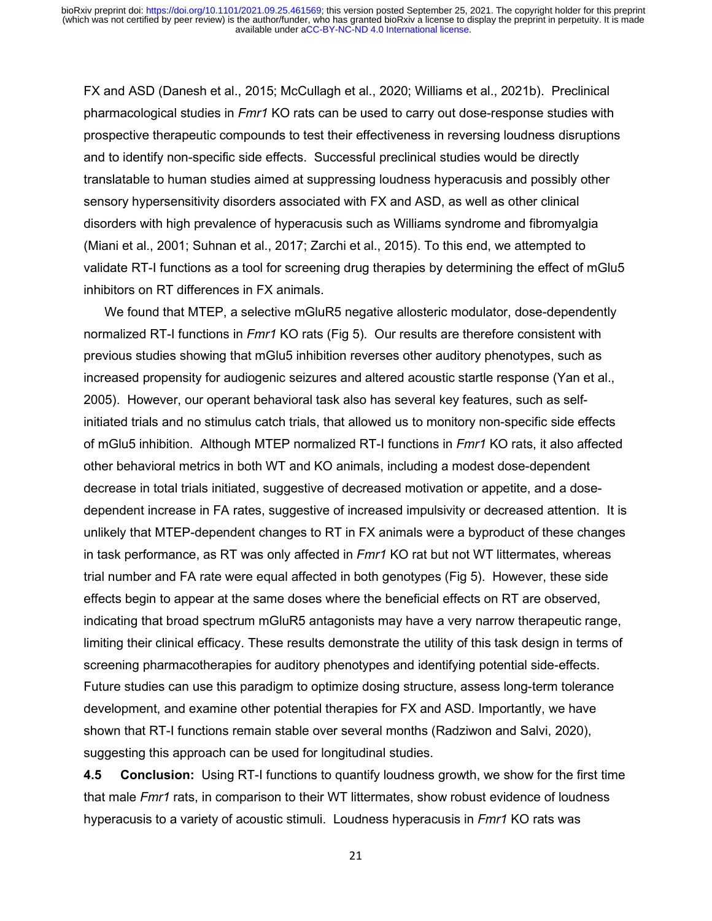FX and ASD (Danesh et al., 2015; McCullagh et al., 2020; Williams et al., 2021b). Preclinical pharmacological studies in *Fmr1* KO rats can be used to carry out dose-response studies with prospective therapeutic compounds to test their effectiveness in reversing loudness disruptions and to identify non-specific side effects. Successful preclinical studies would be directly translatable to human studies aimed at suppressing loudness hyperacusis and possibly other sensory hypersensitivity disorders associated with FX and ASD, as well as other clinical disorders with high prevalence of hyperacusis such as Williams syndrome and fibromyalgia (Miani et al., 2001; Suhnan et al., 2017; Zarchi et al., 2015). To this end, we attempted to validate RT-I functions as a tool for screening drug therapies by determining the effect of mGlu5 inhibitors on RT differences in FX animals.

We found that MTEP, a selective mGluR5 negative allosteric modulator, dose-dependently normalized RT-I functions in *Fmr1* KO rats (Fig 5). Our results are therefore consistent with previous studies showing that mGlu5 inhibition reverses other auditory phenotypes, such as increased propensity for audiogenic seizures and altered acoustic startle response (Yan et al., 2005). However, our operant behavioral task also has several key features, such as selfinitiated trials and no stimulus catch trials, that allowed us to monitory non-specific side effects of mGlu5 inhibition. Although MTEP normalized RT-I functions in *Fmr1* KO rats, it also affected other behavioral metrics in both WT and KO animals, including a modest dose-dependent decrease in total trials initiated, suggestive of decreased motivation or appetite, and a dosedependent increase in FA rates, suggestive of increased impulsivity or decreased attention. It is unlikely that MTEP-dependent changes to RT in FX animals were a byproduct of these changes in task performance, as RT was only affected in *Fmr1* KO rat but not WT littermates, whereas trial number and FA rate were equal affected in both genotypes (Fig 5). However, these side effects begin to appear at the same doses where the beneficial effects on RT are observed, indicating that broad spectrum mGluR5 antagonists may have a very narrow therapeutic range, limiting their clinical efficacy. These results demonstrate the utility of this task design in terms of screening pharmacotherapies for auditory phenotypes and identifying potential side-effects. Future studies can use this paradigm to optimize dosing structure, assess long-term tolerance development, and examine other potential therapies for FX and ASD. Importantly, we have shown that RT-I functions remain stable over several months (Radziwon and Salvi, 2020), suggesting this approach can be used for longitudinal studies.

**4.5 Conclusion:** Using RT-I functions to quantify loudness growth, we show for the first time that male *Fmr1* rats, in comparison to their WT littermates, show robust evidence of loudness hyperacusis to a variety of acoustic stimuli. Loudness hyperacusis in *Fmr1* KO rats was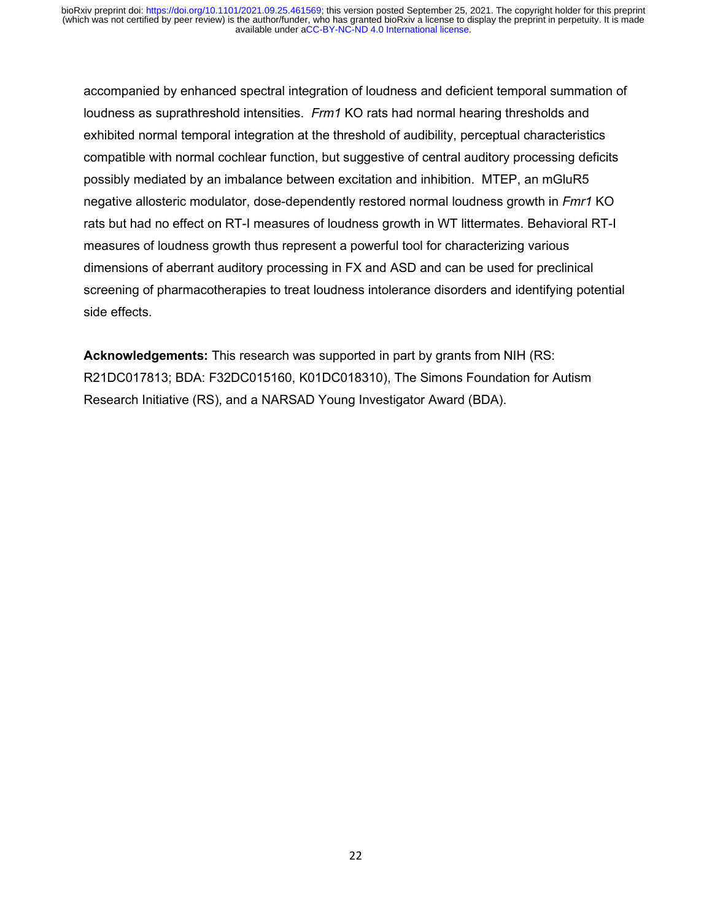accompanied by enhanced spectral integration of loudness and deficient temporal summation of loudness as suprathreshold intensities. *Frm1* KO rats had normal hearing thresholds and exhibited normal temporal integration at the threshold of audibility, perceptual characteristics compatible with normal cochlear function, but suggestive of central auditory processing deficits possibly mediated by an imbalance between excitation and inhibition. MTEP, an mGluR5 negative allosteric modulator, dose-dependently restored normal loudness growth in *Fmr1* KO rats but had no effect on RT-I measures of loudness growth in WT littermates. Behavioral RT-I measures of loudness growth thus represent a powerful tool for characterizing various dimensions of aberrant auditory processing in FX and ASD and can be used for preclinical screening of pharmacotherapies to treat loudness intolerance disorders and identifying potential side effects.

**Acknowledgements:** This research was supported in part by grants from NIH (RS: R21DC017813; BDA: F32DC015160, K01DC018310), The Simons Foundation for Autism Research Initiative (RS), and a NARSAD Young Investigator Award (BDA).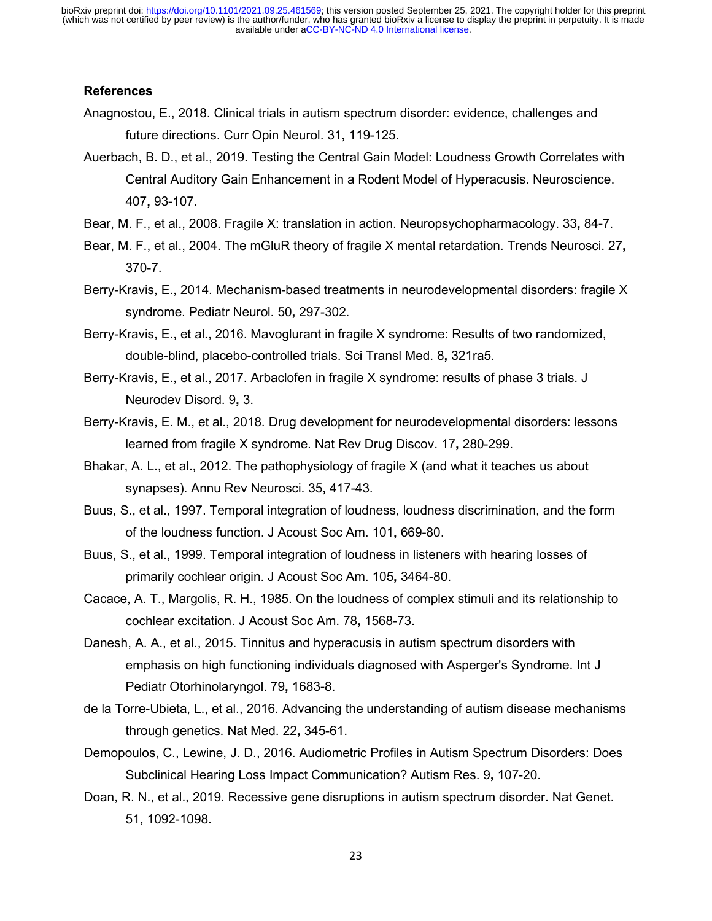# **References**

- Anagnostou, E., 2018. Clinical trials in autism spectrum disorder: evidence, challenges and future directions. Curr Opin Neurol. 31**,** 119-125.
- Auerbach, B. D., et al., 2019. Testing the Central Gain Model: Loudness Growth Correlates with Central Auditory Gain Enhancement in a Rodent Model of Hyperacusis. Neuroscience. 407**,** 93-107.
- Bear, M. F., et al., 2008. Fragile X: translation in action. Neuropsychopharmacology. 33**,** 84-7.
- Bear, M. F., et al., 2004. The mGluR theory of fragile X mental retardation. Trends Neurosci. 27**,** 370-7.
- Berry-Kravis, E., 2014. Mechanism-based treatments in neurodevelopmental disorders: fragile X syndrome. Pediatr Neurol. 50**,** 297-302.

Berry-Kravis, E., et al., 2016. Mavoglurant in fragile X syndrome: Results of two randomized, double-blind, placebo-controlled trials. Sci Transl Med. 8**,** 321ra5.

- Berry-Kravis, E., et al., 2017. Arbaclofen in fragile X syndrome: results of phase 3 trials. J Neurodev Disord. 9**,** 3.
- Berry-Kravis, E. M., et al., 2018. Drug development for neurodevelopmental disorders: lessons learned from fragile X syndrome. Nat Rev Drug Discov. 17**,** 280-299.
- Bhakar, A. L., et al., 2012. The pathophysiology of fragile X (and what it teaches us about synapses). Annu Rev Neurosci. 35**,** 417-43.
- Buus, S., et al., 1997. Temporal integration of loudness, loudness discrimination, and the form of the loudness function. J Acoust Soc Am. 101**,** 669-80.
- Buus, S., et al., 1999. Temporal integration of loudness in listeners with hearing losses of primarily cochlear origin. J Acoust Soc Am. 105**,** 3464-80.
- Cacace, A. T., Margolis, R. H., 1985. On the loudness of complex stimuli and its relationship to cochlear excitation. J Acoust Soc Am. 78**,** 1568-73.
- Danesh, A. A., et al., 2015. Tinnitus and hyperacusis in autism spectrum disorders with emphasis on high functioning individuals diagnosed with Asperger's Syndrome. Int J Pediatr Otorhinolaryngol. 79**,** 1683-8.
- de la Torre-Ubieta, L., et al., 2016. Advancing the understanding of autism disease mechanisms through genetics. Nat Med. 22**,** 345-61.
- Demopoulos, C., Lewine, J. D., 2016. Audiometric Profiles in Autism Spectrum Disorders: Does Subclinical Hearing Loss Impact Communication? Autism Res. 9**,** 107-20.
- Doan, R. N., et al., 2019. Recessive gene disruptions in autism spectrum disorder. Nat Genet. 51**,** 1092-1098.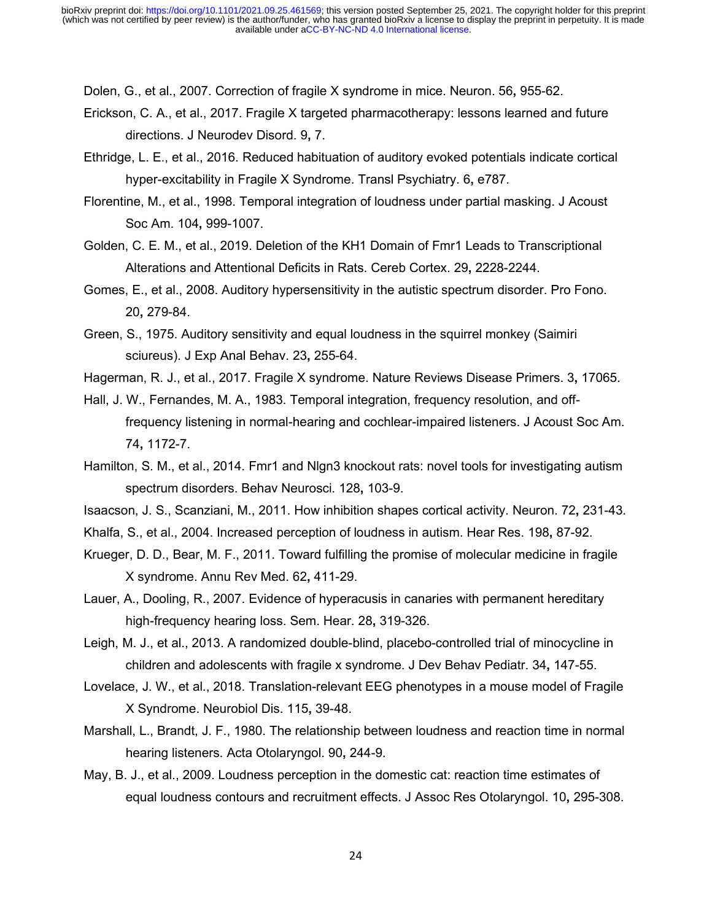Dolen, G., et al., 2007. Correction of fragile X syndrome in mice. Neuron. 56**,** 955-62.

- Erickson, C. A., et al., 2017. Fragile X targeted pharmacotherapy: lessons learned and future directions. J Neurodev Disord. 9**,** 7.
- Ethridge, L. E., et al., 2016. Reduced habituation of auditory evoked potentials indicate cortical hyper-excitability in Fragile X Syndrome. Transl Psychiatry. 6**,** e787.
- Florentine, M., et al., 1998. Temporal integration of loudness under partial masking. J Acoust Soc Am. 104**,** 999-1007.
- Golden, C. E. M., et al., 2019. Deletion of the KH1 Domain of Fmr1 Leads to Transcriptional Alterations and Attentional Deficits in Rats. Cereb Cortex. 29**,** 2228-2244.
- Gomes, E., et al., 2008. Auditory hypersensitivity in the autistic spectrum disorder. Pro Fono. 20**,** 279-84.
- Green, S., 1975. Auditory sensitivity and equal loudness in the squirrel monkey (Saimiri sciureus). J Exp Anal Behav. 23**,** 255-64.
- Hagerman, R. J., et al., 2017. Fragile X syndrome. Nature Reviews Disease Primers. 3**,** 17065.
- Hall, J. W., Fernandes, M. A., 1983. Temporal integration, frequency resolution, and offfrequency listening in normal-hearing and cochlear-impaired listeners. J Acoust Soc Am. 74**,** 1172-7.
- Hamilton, S. M., et al., 2014. Fmr1 and Nlgn3 knockout rats: novel tools for investigating autism spectrum disorders. Behav Neurosci. 128**,** 103-9.
- Isaacson, J. S., Scanziani, M., 2011. How inhibition shapes cortical activity. Neuron. 72**,** 231-43.
- Khalfa, S., et al., 2004. Increased perception of loudness in autism. Hear Res. 198**,** 87-92.
- Krueger, D. D., Bear, M. F., 2011. Toward fulfilling the promise of molecular medicine in fragile X syndrome. Annu Rev Med. 62**,** 411-29.
- Lauer, A., Dooling, R., 2007. Evidence of hyperacusis in canaries with permanent hereditary high-frequency hearing loss. Sem. Hear. 28**,** 319-326.
- Leigh, M. J., et al., 2013. A randomized double-blind, placebo-controlled trial of minocycline in children and adolescents with fragile x syndrome. J Dev Behav Pediatr. 34**,** 147-55.
- Lovelace, J. W., et al., 2018. Translation-relevant EEG phenotypes in a mouse model of Fragile X Syndrome. Neurobiol Dis. 115**,** 39-48.
- Marshall, L., Brandt, J. F., 1980. The relationship between loudness and reaction time in normal hearing listeners. Acta Otolaryngol. 90**,** 244-9.
- May, B. J., et al., 2009. Loudness perception in the domestic cat: reaction time estimates of equal loudness contours and recruitment effects. J Assoc Res Otolaryngol. 10**,** 295-308.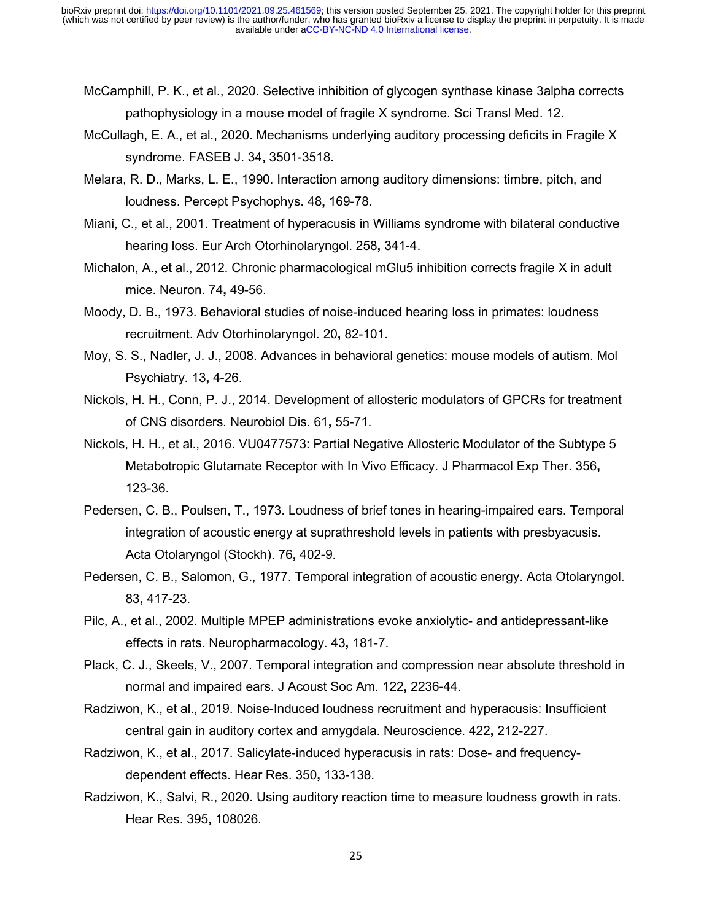- McCamphill, P. K., et al., 2020. Selective inhibition of glycogen synthase kinase 3alpha corrects pathophysiology in a mouse model of fragile X syndrome. Sci Transl Med. 12.
- McCullagh, E. A., et al., 2020. Mechanisms underlying auditory processing deficits in Fragile X syndrome. FASEB J. 34**,** 3501-3518.
- Melara, R. D., Marks, L. E., 1990. Interaction among auditory dimensions: timbre, pitch, and loudness. Percept Psychophys. 48**,** 169-78.
- Miani, C., et al., 2001. Treatment of hyperacusis in Williams syndrome with bilateral conductive hearing loss. Eur Arch Otorhinolaryngol. 258**,** 341-4.
- Michalon, A., et al., 2012. Chronic pharmacological mGlu5 inhibition corrects fragile X in adult mice. Neuron. 74**,** 49-56.
- Moody, D. B., 1973. Behavioral studies of noise-induced hearing loss in primates: loudness recruitment. Adv Otorhinolaryngol. 20**,** 82-101.
- Moy, S. S., Nadler, J. J., 2008. Advances in behavioral genetics: mouse models of autism. Mol Psychiatry. 13**,** 4-26.
- Nickols, H. H., Conn, P. J., 2014. Development of allosteric modulators of GPCRs for treatment of CNS disorders. Neurobiol Dis. 61**,** 55-71.
- Nickols, H. H., et al., 2016. VU0477573: Partial Negative Allosteric Modulator of the Subtype 5 Metabotropic Glutamate Receptor with In Vivo Efficacy. J Pharmacol Exp Ther. 356**,** 123-36.
- Pedersen, C. B., Poulsen, T., 1973. Loudness of brief tones in hearing-impaired ears. Temporal integration of acoustic energy at suprathreshold levels in patients with presbyacusis. Acta Otolaryngol (Stockh). 76**,** 402-9.
- Pedersen, C. B., Salomon, G., 1977. Temporal integration of acoustic energy. Acta Otolaryngol. 83**,** 417-23.
- Pilc, A., et al., 2002. Multiple MPEP administrations evoke anxiolytic- and antidepressant-like effects in rats. Neuropharmacology. 43**,** 181-7.
- Plack, C. J., Skeels, V., 2007. Temporal integration and compression near absolute threshold in normal and impaired ears. J Acoust Soc Am. 122**,** 2236-44.
- Radziwon, K., et al., 2019. Noise-Induced loudness recruitment and hyperacusis: Insufficient central gain in auditory cortex and amygdala. Neuroscience. 422**,** 212-227.
- Radziwon, K., et al., 2017. Salicylate-induced hyperacusis in rats: Dose- and frequencydependent effects. Hear Res. 350**,** 133-138.
- Radziwon, K., Salvi, R., 2020. Using auditory reaction time to measure loudness growth in rats. Hear Res. 395**,** 108026.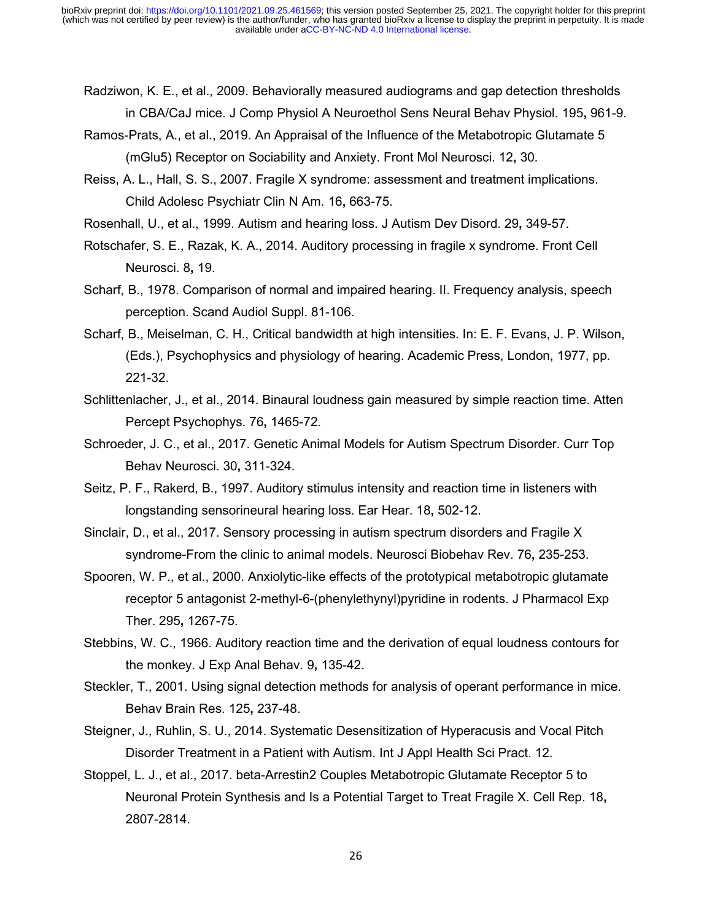- Radziwon, K. E., et al., 2009. Behaviorally measured audiograms and gap detection thresholds in CBA/CaJ mice. J Comp Physiol A Neuroethol Sens Neural Behav Physiol. 195**,** 961-9.
- Ramos-Prats, A., et al., 2019. An Appraisal of the Influence of the Metabotropic Glutamate 5 (mGlu5) Receptor on Sociability and Anxiety. Front Mol Neurosci. 12**,** 30.
- Reiss, A. L., Hall, S. S., 2007. Fragile X syndrome: assessment and treatment implications. Child Adolesc Psychiatr Clin N Am. 16**,** 663-75.
- Rosenhall, U., et al., 1999. Autism and hearing loss. J Autism Dev Disord. 29**,** 349-57.
- Rotschafer, S. E., Razak, K. A., 2014. Auditory processing in fragile x syndrome. Front Cell Neurosci. 8**,** 19.
- Scharf, B., 1978. Comparison of normal and impaired hearing. II. Frequency analysis, speech perception. Scand Audiol Suppl. 81-106.
- Scharf, B., Meiselman, C. H., Critical bandwidth at high intensities. In: E. F. Evans, J. P. Wilson, (Eds.), Psychophysics and physiology of hearing. Academic Press, London, 1977, pp. 221-32.
- Schlittenlacher, J., et al., 2014. Binaural loudness gain measured by simple reaction time. Atten Percept Psychophys. 76**,** 1465-72.
- Schroeder, J. C., et al., 2017. Genetic Animal Models for Autism Spectrum Disorder. Curr Top Behav Neurosci. 30**,** 311-324.
- Seitz, P. F., Rakerd, B., 1997. Auditory stimulus intensity and reaction time in listeners with longstanding sensorineural hearing loss. Ear Hear. 18**,** 502-12.
- Sinclair, D., et al., 2017. Sensory processing in autism spectrum disorders and Fragile X syndrome-From the clinic to animal models. Neurosci Biobehav Rev. 76**,** 235-253.
- Spooren, W. P., et al., 2000. Anxiolytic-like effects of the prototypical metabotropic glutamate receptor 5 antagonist 2-methyl-6-(phenylethynyl)pyridine in rodents. J Pharmacol Exp Ther. 295**,** 1267-75.
- Stebbins, W. C., 1966. Auditory reaction time and the derivation of equal loudness contours for the monkey. J Exp Anal Behav. 9**,** 135-42.
- Steckler, T., 2001. Using signal detection methods for analysis of operant performance in mice. Behav Brain Res. 125**,** 237-48.
- Steigner, J., Ruhlin, S. U., 2014. Systematic Desensitization of Hyperacusis and Vocal Pitch Disorder Treatment in a Patient with Autism. Int J Appl Health Sci Pract. 12.
- Stoppel, L. J., et al., 2017. beta-Arrestin2 Couples Metabotropic Glutamate Receptor 5 to Neuronal Protein Synthesis and Is a Potential Target to Treat Fragile X. Cell Rep. 18**,** 2807-2814.